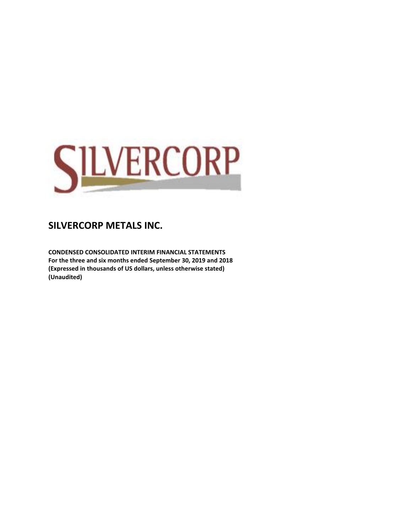

**CONDENSED CONSOLIDATED INTERIM FINANCIAL STATEMENTS For the three and six months ended September 30, 2019 and 2018 (Expressed in thousands of US dollars, unless otherwise stated) (Unaudited)**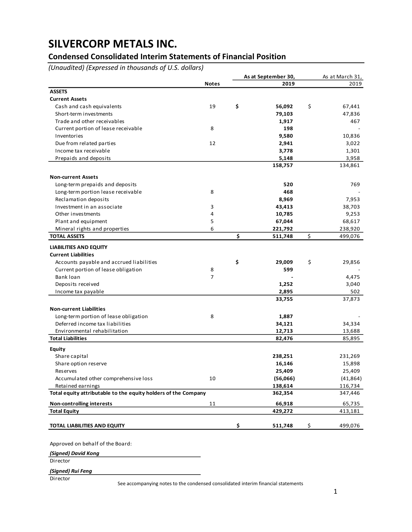## **Condensed Consolidated Interim Statements of Financial Position**

*(Unaudited) (Expressed in thousands of U.S. dollars)*

|                                                                |                | As at September 30, | As at March 31, |
|----------------------------------------------------------------|----------------|---------------------|-----------------|
|                                                                | <b>Notes</b>   | 2019                | 2019            |
| <b>ASSETS</b>                                                  |                |                     |                 |
| <b>Current Assets</b>                                          |                |                     |                 |
| Cash and cash equivalents                                      | 19             | \$<br>56,092        | \$<br>67,441    |
| Short-term investments                                         |                | 79,103              | 47,836          |
| Trade and other receivables                                    |                | 1,917               | 467             |
| Current portion of lease receivable                            | 8              | 198                 |                 |
| Inventories                                                    |                | 9,580               | 10,836          |
| Due from related parties                                       | 12             | 2,941               | 3,022           |
| Income tax receivable                                          |                | 3,778               | 1,301           |
| Prepaids and deposits                                          |                | 5,148               | 3,958           |
|                                                                |                | 158,757             | 134,861         |
| <b>Non-current Assets</b>                                      |                |                     |                 |
| Long-term prepaids and deposits                                |                | 520                 | 769             |
| Long-term portion lease receivable                             | 8              | 468                 |                 |
| Reclamation deposits                                           |                | 8,969               | 7,953           |
| Investment in an associate                                     | 3              | 43,413              | 38,703          |
| Other investments                                              | 4              | 10,785              | 9,253           |
| Plant and equipment                                            | 5              | 67,044              | 68,617          |
| Mineral rights and properties                                  | 6              | 221,792             | 238,920         |
| <b>TOTAL ASSETS</b>                                            |                | \$<br>511,748       | \$<br>499,076   |
| <b>LIABILITIES AND EQUITY</b>                                  |                |                     |                 |
| <b>Current Liabilities</b>                                     |                |                     |                 |
| Accounts payable and accrued liabilities                       |                | \$<br>29,009        | \$<br>29,856    |
| Current portion of lease obligation                            | 8              | 599                 |                 |
| Bank loan                                                      | $\overline{7}$ |                     | 4,475           |
| Deposits received                                              |                | 1,252               | 3,040           |
| Income tax payable                                             |                | 2,895               | 502             |
|                                                                |                | 33,755              | 37,873          |
| <b>Non-current Liabilities</b>                                 |                |                     |                 |
| Long-term portion of lease obligation                          | 8              | 1,887               |                 |
| Deferred income tax liabilities                                |                | 34,121              | 34,334          |
| Environmental rehabilitation                                   |                | 12,713              | 13,688          |
| <b>Total Liabilities</b>                                       |                | 82,476              | 85,895          |
| Equity                                                         |                |                     |                 |
| Share capital                                                  |                | 238,251             | 231,269         |
| Share option reserve                                           |                | 16,146              | 15,898          |
| Reserves                                                       |                | 25.409              | 25,409          |
| Accumulated other comprehensive loss                           | 10             | (56,066)            | (41, 864)       |
| Retained earnings                                              |                | 138,614             | 116,734         |
| Total equity attributable to the equity holders of the Company |                | 362,354             | 347,446         |
| <b>Non-controlling interests</b>                               | 11             | 66,918              | 65,735          |
| <b>Total Equity</b>                                            |                | 429,272             | 413,181         |
| TOTAL LIABILITIES AND EQUITY                                   |                | \$<br>511,748       | \$<br>499,076   |

Approved on behalf of the Board:

*(Signed) David Kong* Director

*(Signed) Rui Feng*

Director

See accompanying notes to the condensed consolidated interim financial statements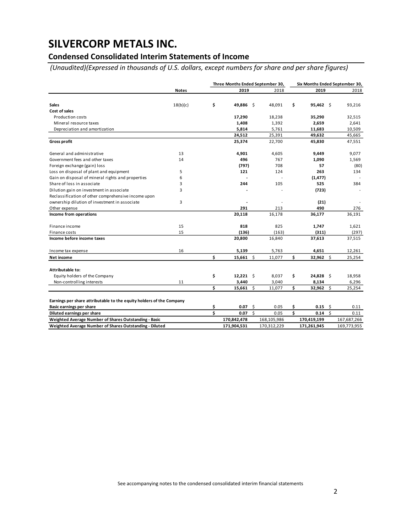### **Condensed Consolidated Interim Statements of Income**

*(Unaudited)(Expressed in thousands of U.S. dollars, except numbers for share and per share figures)*

|                                                                      |              |    | Three Months Ended September 30, |      |             | Six Months Ended September 30, |      |             |
|----------------------------------------------------------------------|--------------|----|----------------------------------|------|-------------|--------------------------------|------|-------------|
|                                                                      | <b>Notes</b> |    | 2019                             |      | 2018        | 2019                           |      | 2018        |
|                                                                      |              |    |                                  |      |             |                                |      |             |
| <b>Sales</b>                                                         | 18(b)(c)     | \$ | 49,886                           | - \$ | 48,091      | \$<br>$95,462$ \$              |      | 93,216      |
| Cost of sales                                                        |              |    |                                  |      |             |                                |      |             |
| <b>Production costs</b>                                              |              |    | 17,290                           |      | 18,238      | 35,290                         |      | 32,515      |
| Mineral resource taxes                                               |              |    | 1,408                            |      | 1,392       | 2,659                          |      | 2,641       |
| Depreciation and amortization                                        |              |    | 5,814                            |      | 5,761       | 11,683                         |      | 10,509      |
|                                                                      |              |    | 24,512                           |      | 25,391      | 49,632                         |      | 45,665      |
| <b>Gross profit</b>                                                  |              |    | 25,374                           |      | 22,700      | 45,830                         |      | 47,551      |
| General and administrative                                           | 13           |    | 4,901                            |      | 4,605       | 9,449                          |      | 9,077       |
| Government fees and other taxes                                      | 14           |    | 496                              |      | 767         | 1,090                          |      | 1,569       |
| Foreign exchange (gain) loss                                         |              |    | (797)                            |      | 708         | 57                             |      | (80)        |
| Loss on disposal of plant and equipment                              | 5            |    | 121                              |      | 124         | 263                            |      | 134         |
| Gain on disposal of mineral rights and properties                    | 6            |    |                                  |      |             | (1, 477)                       |      |             |
| Share of loss in associate                                           | 3            |    | 244                              |      | 105         | 525                            |      | 384         |
| Dilution gain on investment in associate                             | 3            |    |                                  |      |             | (723)                          |      |             |
| Reclassification of other comprehensive income upon                  |              |    |                                  |      |             |                                |      |             |
| ownership dilution of investment in associate                        | 3            |    |                                  |      |             | (21)                           |      |             |
| Other expense                                                        |              |    | 291                              |      | 213         | 490                            |      | 276         |
| Income from operations                                               |              |    | 20,118                           |      | 16,178      | 36,177                         |      | 36,191      |
| Finance income                                                       | 15           |    | 818                              |      | 825         | 1,747                          |      | 1,621       |
| Finance costs                                                        | 15           |    | (136)                            |      | (163)       | (311)                          |      | (297)       |
| Income before income taxes                                           |              |    | 20,800                           |      | 16,840      | 37,613                         |      | 37,515      |
| Income tax expense                                                   | 16           |    | 5,139                            |      | 5,763       | 4,651                          |      | 12,261      |
| Net income                                                           |              | \$ | $15,661$ \$                      |      | 11,077      | \$<br>32,962 \$                |      | 25,254      |
| Attributable to:                                                     |              |    |                                  |      |             |                                |      |             |
| Equity holders of the Company                                        |              | \$ | $12,221$ \$                      |      | 8,037       | \$<br>24,828 \$                |      | 18,958      |
| Non-controlling interests                                            | 11           |    | 3,440                            |      | 3,040       | 8,134                          |      | 6,296       |
|                                                                      |              | \$ | 15,661                           | Ŝ.   | 11,077      | \$<br>$32,962$ \$              |      | 25,254      |
| Earnings per share attributable to the equity holders of the Company |              |    |                                  |      |             |                                |      |             |
| Basic earnings per share                                             |              | \$ | 0.07                             | -\$  | 0.05        | \$<br>0.15                     | - \$ | 0.11        |
| Diluted earnings per share                                           |              | Ś  | 0.07                             | Ŝ.   | 0.05        | \$<br>0.14                     | Ś.   | 0.11        |
| Weighted Average Number of Shares Outstanding - Basic                |              |    | 170,842,478                      |      | 168,105,986 | 170,419,199                    |      | 167,687,266 |
| Weighted Average Number of Shares Outstanding - Diluted              |              |    | 171,904,531                      |      | 170,312,229 | 171,261,945                    |      | 169,773,955 |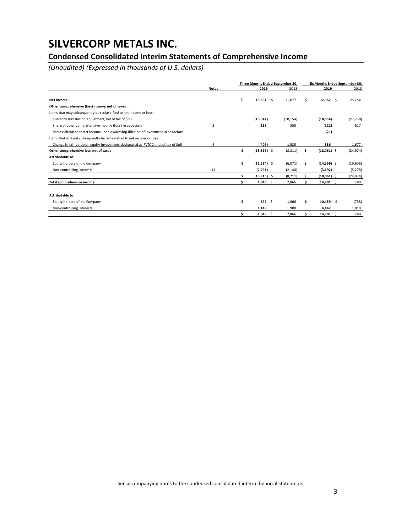### **Condensed Consolidated Interim Statements of Comprehensive Income**

*(Unaudited) (Expressed in thousands of U.S. dollars)*

|                                                                                      |              |    | Three Months Ended September 30. |                          |     | Six Months Ended September 30, |           |
|--------------------------------------------------------------------------------------|--------------|----|----------------------------------|--------------------------|-----|--------------------------------|-----------|
|                                                                                      | <b>Notes</b> |    | 2019                             | 2018                     |     | 2019                           | 2018      |
| Net income                                                                           |              | \$ | 15,661<br>- \$                   | 11,077                   | Ś.  | $32,962$ \$                    | 25,254    |
| Other comprehensive (loss) income, net of taxes:                                     |              |    |                                  |                          |     |                                |           |
| Items that may subsequently be reclassified to net income or loss:                   |              |    |                                  |                          |     |                                |           |
| Currency translation adjustment, net of tax of \$nil                                 |              |    | (13,541)                         | (10, 154)                |     | (18, 654)                      | (27, 268) |
| Share of other comprehensive income (loss) in associate                              | 3            |    | 135                              | 358                      |     | (222)                          | 617       |
| Reclassification to net income upon ownership dilution of investment in associate    |              |    |                                  | $\overline{\phantom{a}}$ |     | (21)                           |           |
| Items that will not subsequently be reclassified to net income or loss:              |              |    |                                  |                          |     |                                |           |
| Change in fair value on equity investments designated as FVTOCI, net of tax of \$nil | 4            |    | (409)                            | 1,585                    |     | 836                            | 1,677     |
| Other comprehensive loss, net of taxes                                               |              | \$ | $(13,815)$ \$                    | (8, 211)                 | Ś.  | $(18,061)$ \$                  | (24, 974) |
| Attributable to:                                                                     |              |    |                                  |                          |     |                                |           |
| Equity holders of the Company                                                        |              | \$ | $(11,524)$ \$                    | (6,071)                  | \$. | $(14,369)$ \$                  | (19,696)  |
| Non-controlling interests                                                            | 11           |    | (2, 291)                         | (2, 140)                 |     | (3,692)                        | (5, 278)  |
|                                                                                      |              | Ś  | $(13,815)$ \$                    | (8, 211)                 |     | $(18,061)$ \$                  | (24, 974) |
| Total comprehensive income                                                           |              |    | $1,846$ \$                       | 2,866                    |     | $14,901$ \$                    | 280       |
|                                                                                      |              |    |                                  |                          |     |                                |           |
| Attributable to:                                                                     |              |    |                                  |                          |     |                                |           |
| Equity holders of the Company                                                        |              | \$ | 697S                             | 1.966                    | Ś.  | 10,459<br>- Ś                  | (738)     |
| Non-controlling interests                                                            |              |    | 1,149                            | 900                      |     | 4,442                          | 1,018     |
|                                                                                      |              | Ś  | $1,846$ \$                       | 2,866                    |     | 14,901 \$                      | 280       |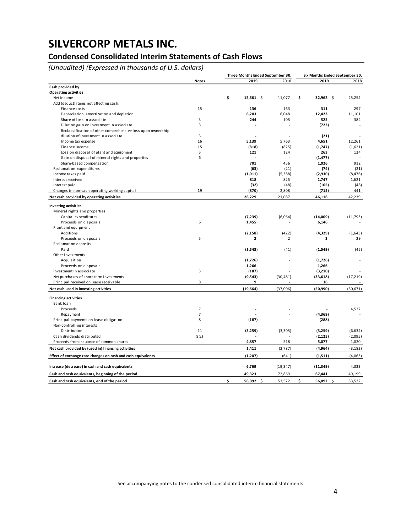### **Condensed Consolidated Interim Statements of Cash Flows**

*(Unaudited) (Expressed in thousands of U.S. dollars)*

|                                                              |                | Three Months Ended September 30, |                |                 | Six Months Ended September 30, |
|--------------------------------------------------------------|----------------|----------------------------------|----------------|-----------------|--------------------------------|
|                                                              | <b>Notes</b>   | 2019                             | 2018           | 2019            | 2018                           |
| Cash provided by                                             |                |                                  |                |                 |                                |
| <b>Operating activities</b>                                  |                |                                  |                |                 |                                |
| Net income                                                   |                | \$<br>$15,661$ \$                | 11,077         | \$<br>32,962 \$ | 25,254                         |
| Add (deduct) items not affecting cash:                       |                |                                  |                |                 |                                |
| Finance costs                                                | 15             | 136                              | 163            | 311             | 297                            |
| Depreciation, amortization and depletion                     |                | 6,203                            | 6,048          | 12,423          | 11,101                         |
| Share of loss in associate                                   | 3              | 244                              | 105            | 525             | 384                            |
| Dilution gain on investment in associate                     | 3              |                                  |                | (723)           |                                |
| Reclassification of other comprehensive loss upon ownership  |                |                                  |                |                 |                                |
| dilution of investment in associate                          | 3              |                                  |                | (21)            |                                |
| Income tax expense                                           | 16             | 5,139                            | 5,763          | 4,651           | 12,261                         |
| Finance income                                               | 15             | (818)                            | (825)          | (1,747)         | (1,621)                        |
| Loss on disposal of plant and equipment                      | 5              | 121                              | 124            | 263             | 134                            |
| Gain on disposal of mineral rights and properties            | 6              | $\overline{a}$                   | ÷.             | (1, 477)        |                                |
| Share-based compensation                                     |                | 701                              | 456            | 1,026           | 912                            |
| Reclamation expenditures                                     |                | (63)                             | (21)           | (74)            | (21)                           |
| Income taxes paid                                            |                | (1,011)                          | (5,388)        | (2,930)         | (8, 476)                       |
| Interest received                                            |                | 818                              | 825            | 1,747           | 1,621                          |
| Interest paid                                                |                | (32)                             | (48)           | (105)           | (48)                           |
| Changes in non-cash operating working capital                | 19             | (870)                            | 2,808          | (715)           | 441                            |
| Net cash provided by operating activities                    |                | 26,229                           | 21,087         | 46,116          | 42,239                         |
| <b>Investing activities</b>                                  |                |                                  |                |                 |                                |
| Mineral rights and properties                                |                |                                  |                |                 |                                |
| Capital expenditures                                         |                | (7, 239)                         | (6,064)        | (14,009)        | (11,793)                       |
| Proceeds on disposals                                        | 6              | 1,455                            |                | 6,146           |                                |
| Plant and equipment                                          |                |                                  |                |                 |                                |
| Additions                                                    |                | (2, 158)                         | (422)          | (4, 329)        | (1,643)                        |
| Proceeds on disposals                                        | 5              | 2                                | $\overline{2}$ | 3               | 29                             |
| Reclamation deposits                                         |                |                                  |                |                 |                                |
| Paid                                                         |                | (1, 543)                         | (41)           | (1,549)         | (45)                           |
| Other investments                                            |                |                                  |                |                 |                                |
| Acquisition                                                  |                | (1,726)                          |                | (1,726)         |                                |
| Proceeds on disposals                                        |                | 1,266                            | ÷.             | 1,266           |                                |
| Investment in associate                                      | 3              | (187)                            |                | (3,210)         |                                |
| Net purchases of short-term investments                      |                | (9, 543)                         | (30, 481)      | (33, 618)       | (17, 219)                      |
| Principal received on lease receivable                       | 8              | 9                                |                | 36              |                                |
| Net cash used in investing activities                        |                | (19, 664)                        | (37,006)       | (50, 990)       | (30,671)                       |
|                                                              |                |                                  |                |                 |                                |
| <b>Financing activities</b>                                  |                |                                  |                |                 |                                |
| Bank loan                                                    |                |                                  |                |                 |                                |
| Proceeds                                                     | $\overline{7}$ |                                  |                |                 | 4,527                          |
| Repayment                                                    | $\overline{7}$ |                                  |                | (4,369)         |                                |
| Principal payments on lease obligation                       | 8              | (187)                            |                | (288)           |                                |
| Non-controlling interests                                    |                |                                  |                |                 |                                |
| Distribution                                                 | 11             | (3,259)                          | (3,305)        | (3,259)         | (6,634)                        |
| Cash dividends distributed                                   | 9(c)           |                                  |                | (2, 125)        | (2,095)                        |
| Proceeds from issuance of common shares                      |                | 4,857                            | 518            | 5,077           | 1,020                          |
| Net cash provided by (used in) financing activities          |                | 1,411                            | (2,787)        | (4,964)         | (3, 182)                       |
| Effect of exchange rate changes on cash and cash equivalents |                | (1, 207)                         | (641)          | (1,511)         | (4,063)                        |
| Increase (decrease) in cash and cash equivalents             |                | 6,769                            | (19, 347)      | (11, 349)       | 4,323                          |
| Cash and cash equivalents, beginning of the period           |                | 49,323                           | 72,869         | 67,441          | 49,199                         |
| Cash and cash equivalents, end of the period                 |                | \$<br>56,092 \$                  | 53,522         | \$<br>56,092 \$ | 53,522                         |

See accompanying notes to the condensed consolidated interim financial statements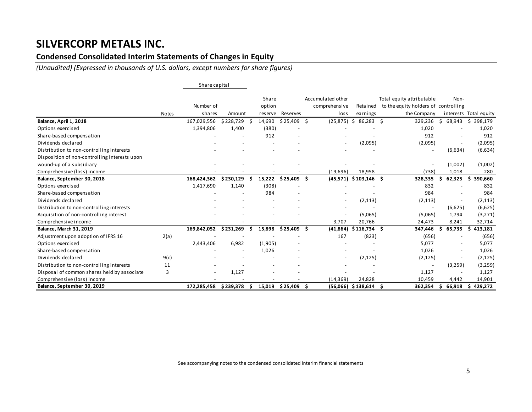### **Condensed Consolidated Interim Statements of Changes in Equity**

*(Unaudited) (Expressed in thousands of U.S. dollars, except numbers for share figures)*

|                                               |              | Share capital            |           |   |                 |                          |    |                                    |                         |    |                                                                   |    |                          |                        |
|-----------------------------------------------|--------------|--------------------------|-----------|---|-----------------|--------------------------|----|------------------------------------|-------------------------|----|-------------------------------------------------------------------|----|--------------------------|------------------------|
|                                               |              | Number of                |           |   | Share<br>option |                          |    | Accumulated other<br>comprehensive | Retained                |    | Total equity attributable<br>to the equity holders of controlling |    | Non-                     |                        |
|                                               | <b>Notes</b> | shares                   | Amount    |   | reserve         | Reserves                 |    | loss                               | earnings                |    | the Company                                                       |    |                          | interests Total equity |
| Balance, April 1, 2018                        |              | 167,029,556              | \$228,729 |   | 14,690          | \$25,409                 | Ŝ  | (25, 875)                          | 86,283<br>\$            | -S | 329,236                                                           | Ŝ. | 68,943                   | \$<br>398,179          |
| Options exercised                             |              | 1,394,806                | 1,400     |   | (380)           | $\overline{\phantom{a}}$ |    |                                    |                         |    | 1,020                                                             |    |                          | 1,020                  |
| Share-based compensation                      |              |                          |           |   | 912             |                          |    |                                    |                         |    | 912                                                               |    |                          | 912                    |
| Dividends declared                            |              |                          |           |   |                 |                          |    |                                    | (2,095)                 |    | (2,095)                                                           |    |                          | (2,095)                |
| Distribution to non-controlling interests     |              |                          |           |   |                 |                          |    |                                    |                         |    | $\overline{\phantom{a}}$                                          |    | (6,634)                  | (6,634)                |
| Disposition of non-controlling interests upon |              |                          |           |   |                 |                          |    |                                    |                         |    |                                                                   |    |                          |                        |
| wound-up of a subsidiary                      |              |                          |           |   |                 |                          |    |                                    |                         |    | $\overline{\phantom{a}}$                                          |    | (1,002)                  | (1,002)                |
| Comprehensive (loss) income                   |              |                          |           |   |                 |                          |    | (19,696)                           | 18,958                  |    | (738)                                                             |    | 1,018                    | 280                    |
| Balance, September 30, 2018                   |              | 168,424,362              | \$230,129 |   | 15,222          | $$25,409$ \$             |    | (45, 571)                          | $$103,146$ \$           |    | 328,335                                                           | Ś  | 62,325                   | 390,660<br>S           |
| Options exercised                             |              | 1,417,690                | 1,140     |   | (308)           |                          |    |                                    |                         |    | 832                                                               |    |                          | 832                    |
| Share-based compensation                      |              |                          |           |   | 984             |                          |    |                                    |                         |    | 984                                                               |    |                          | 984                    |
| Dividends declared                            |              |                          |           |   |                 |                          |    | $\overline{\phantom{a}}$           | (2, 113)                |    | (2, 113)                                                          |    | $\overline{\phantom{a}}$ | (2, 113)               |
| Distribution to non-controlling interests     |              |                          |           |   |                 |                          |    |                                    |                         |    | $\overline{\phantom{a}}$                                          |    | (6,625)                  | (6,625)                |
| Acquisition of non-controlling interest       |              |                          |           |   |                 |                          |    | $\overline{\phantom{a}}$           | (5,065)                 |    | (5,065)                                                           |    | 1,794                    | (3,271)                |
| Comprehensive income                          |              |                          |           |   |                 |                          |    | 3,707                              | 20,766                  |    | 24,473                                                            |    | 8,241                    | 32,714                 |
| <b>Balance, March 31, 2019</b>                |              | 169,842,052              | \$231,269 |   | 15,898          | \$25,409                 | Ŝ. | (41, 864)                          | $$116,734$ \$           |    | 347,446                                                           | S  | 65,735                   | 413,181<br>S           |
| Adjustment upon adoption of IFRS 16           | 2(a)         |                          |           |   |                 |                          |    | 167                                | (823)                   |    | (656)                                                             |    |                          | (656)                  |
| Options exercised                             |              | 2,443,406                | 6,982     |   | (1,905)         |                          |    |                                    |                         |    | 5,077                                                             |    |                          | 5,077                  |
| Share-based compensation                      |              |                          |           |   | 1,026           |                          |    |                                    |                         |    | 1,026                                                             |    | $\overline{\phantom{a}}$ | 1,026                  |
| Dividends declared                            | 9(c)         |                          |           |   |                 |                          |    |                                    | (2, 125)                |    | (2, 125)                                                          |    |                          | (2, 125)               |
| Distribution to non-controlling interests     | 11           |                          |           |   |                 |                          |    |                                    |                         |    | $\overline{\phantom{a}}$                                          |    | (3,259)                  | (3,259)                |
| Disposal of common shares held by associate   | 3            | $\overline{\phantom{a}}$ | 1,127     |   |                 |                          |    |                                    |                         |    | 1,127                                                             |    | $\overline{\phantom{a}}$ | 1,127                  |
| Comprehensive (loss) income                   |              |                          |           |   |                 |                          |    | (14, 369)                          | 24,828                  |    | 10,459                                                            |    | 4,442                    | 14,901                 |
| Balance, September 30, 2019                   |              | 172,285,458              | \$239,378 | s | 15,019          | $$25,409$ \$             |    |                                    | $(56,066)$ \$138,614 \$ |    | 362,354                                                           | S  | 66,918                   | 429,272<br>Ś           |

See accompanying notes to the condensed consolidated interim financial statements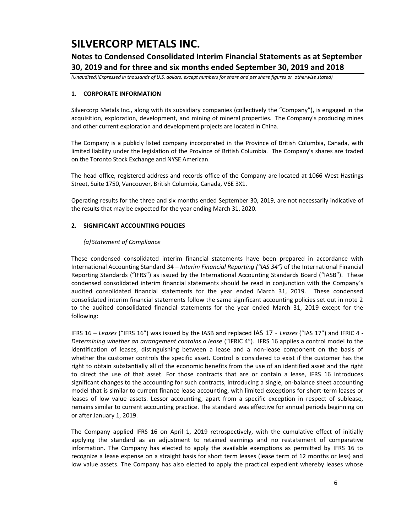### **Notes to Condensed Consolidated Interim Financial Statements as at September 30, 2019 and for three and six months ended September 30, 2019 and 2018**

*(Unaudited)(Expressed in thousands of U.S. dollars, except numbers for share and per share figures or otherwise stated)*

#### **1. CORPORATE INFORMATION**

Silvercorp Metals Inc., along with its subsidiary companies (collectively the "Company"), is engaged in the acquisition, exploration, development, and mining of mineral properties. The Company's producing mines and other current exploration and development projects are located in China.

The Company is a publicly listed company incorporated in the Province of British Columbia, Canada, with limited liability under the legislation of the Province of British Columbia. The Company's shares are traded on the Toronto Stock Exchange and NYSE American.

The head office, registered address and records office of the Company are located at 1066 West Hastings Street, Suite 1750, Vancouver, British Columbia, Canada, V6E 3X1.

Operating results for the three and six months ended September 30, 2019, are not necessarily indicative of the results that may be expected for the year ending March 31, 2020.

#### **2. SIGNIFICANT ACCOUNTING POLICIES**

#### *(a) Statement of Compliance*

These condensed consolidated interim financial statements have been prepared in accordance with International Accounting Standard 34 – *Interim Financial Reporting ("IAS 34")* of the International Financial Reporting Standards ("IFRS") as issued by the International Accounting Standards Board ("IASB"). These condensed consolidated interim financial statements should be read in conjunction with the Company's audited consolidated financial statements for the year ended March 31, 2019. These condensed consolidated interim financial statements follow the same significant accounting policies set out in note 2 to the audited consolidated financial statements for the year ended March 31, 2019 except for the following:

IFRS 16 – *Leases* ("IFRS 16") was issued by the IASB and replaced IAS 17 - *Leases* ("IAS 17") and IFRIC 4 - *Determining whether an arrangement contains a lease* ("IFRIC 4"). IFRS 16 applies a control model to the identification of leases, distinguishing between a lease and a non-lease component on the basis of whether the customer controls the specific asset. Control is considered to exist if the customer has the right to obtain substantially all of the economic benefits from the use of an identified asset and the right to direct the use of that asset. For those contracts that are or contain a lease, IFRS 16 introduces significant changes to the accounting for such contracts, introducing a single, on-balance sheet accounting model that is similar to current finance lease accounting, with limited exceptions for short-term leases or leases of low value assets. Lessor accounting, apart from a specific exception in respect of sublease, remains similar to current accounting practice. The standard was effective for annual periods beginning on or after January 1, 2019.

The Company applied IFRS 16 on April 1, 2019 retrospectively, with the cumulative effect of initially applying the standard as an adjustment to retained earnings and no restatement of comparative information. The Company has elected to apply the available exemptions as permitted by IFRS 16 to recognize a lease expense on a straight basis for short term leases (lease term of 12 months or less) and low value assets. The Company has also elected to apply the practical expedient whereby leases whose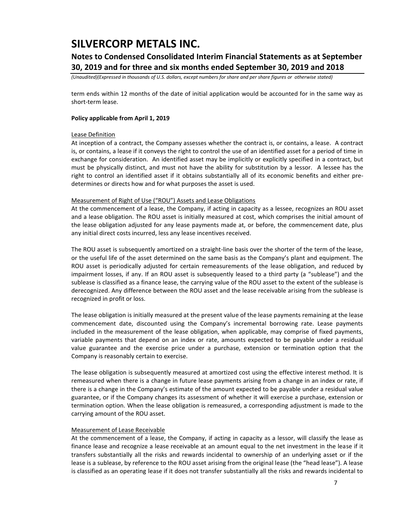### **Notes to Condensed Consolidated Interim Financial Statements as at September 30, 2019 and for three and six months ended September 30, 2019 and 2018**

*(Unaudited)(Expressed in thousands of U.S. dollars, except numbers for share and per share figures or otherwise stated)*

term ends within 12 months of the date of initial application would be accounted for in the same way as short-term lease.

#### **Policy applicable from April 1, 2019**

#### Lease Definition

At inception of a contract, the Company assesses whether the contract is, or contains, a lease. A contract is, or contains, a lease if it conveys the right to control the use of an identified asset for a period of time in exchange for consideration. An identified asset may be implicitly or explicitly specified in a contract, but must be physically distinct, and must not have the ability for substitution by a lessor. A lessee has the right to control an identified asset if it obtains substantially all of its economic benefits and either predetermines or directs how and for what purposes the asset is used.

#### Measurement of Right of Use ("ROU") Assets and Lease Obligations

At the commencement of a lease, the Company, if acting in capacity as a lessee, recognizes an ROU asset and a lease obligation. The ROU asset is initially measured at cost, which comprises the initial amount of the lease obligation adjusted for any lease payments made at, or before, the commencement date, plus any initial direct costs incurred, less any lease incentives received.

The ROU asset is subsequently amortized on a straight-line basis over the shorter of the term of the lease, or the useful life of the asset determined on the same basis as the Company's plant and equipment. The ROU asset is periodically adjusted for certain remeasurements of the lease obligation, and reduced by impairment losses, if any. If an ROU asset is subsequently leased to a third party (a "sublease") and the sublease is classified as a finance lease, the carrying value of the ROU asset to the extent of the sublease is derecognized. Any difference between the ROU asset and the lease receivable arising from the sublease is recognized in profit or loss.

The lease obligation is initially measured at the present value of the lease payments remaining at the lease commencement date, discounted using the Company's incremental borrowing rate. Lease payments included in the measurement of the lease obligation, when applicable, may comprise of fixed payments, variable payments that depend on an index or rate, amounts expected to be payable under a residual value guarantee and the exercise price under a purchase, extension or termination option that the Company is reasonably certain to exercise.

The lease obligation is subsequently measured at amortized cost using the effective interest method. It is remeasured when there is a change in future lease payments arising from a change in an index or rate, if there is a change in the Company's estimate of the amount expected to be payable under a residual value guarantee, or if the Company changes its assessment of whether it will exercise a purchase, extension or termination option. When the lease obligation is remeasured, a corresponding adjustment is made to the carrying amount of the ROU asset.

#### Measurement of Lease Receivable

At the commencement of a lease, the Company, if acting in capacity as a lessor, will classify the lease as finance lease and recognize a lease receivable at an amount equal to the net investment in the lease if it transfers substantially all the risks and rewards incidental to ownership of an underlying asset or if the lease is a sublease, by reference to the ROU asset arising from the original lease (the "head lease"). A lease is classified as an operating lease if it does not transfer substantially all the risks and rewards incidental to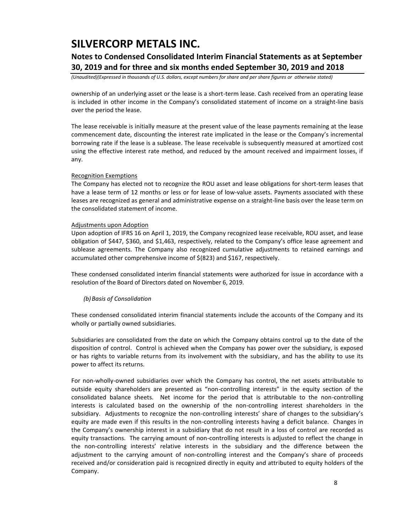### **Notes to Condensed Consolidated Interim Financial Statements as at September 30, 2019 and for three and six months ended September 30, 2019 and 2018**

*(Unaudited)(Expressed in thousands of U.S. dollars, except numbers for share and per share figures or otherwise stated)*

ownership of an underlying asset or the lease is a short-term lease. Cash received from an operating lease is included in other income in the Company's consolidated statement of income on a straight-line basis over the period the lease.

The lease receivable is initially measure at the present value of the lease payments remaining at the lease commencement date, discounting the interest rate implicated in the lease or the Company's incremental borrowing rate if the lease is a sublease. The lease receivable is subsequently measured at amortized cost using the effective interest rate method, and reduced by the amount received and impairment losses, if any.

#### Recognition Exemptions

The Company has elected not to recognize the ROU asset and lease obligations for short-term leases that have a lease term of 12 months or less or for lease of low-value assets. Payments associated with these leases are recognized as general and administrative expense on a straight-line basis over the lease term on the consolidated statement of income.

#### Adjustments upon Adoption

Upon adoption of IFRS 16 on April 1, 2019, the Company recognized lease receivable, ROU asset, and lease obligation of \$447, \$360, and \$1,463, respectively, related to the Company's office lease agreement and sublease agreements. The Company also recognized cumulative adjustments to retained earnings and accumulated other comprehensive income of \$(823) and \$167, respectively.

These condensed consolidated interim financial statements were authorized for issue in accordance with a resolution of the Board of Directors dated on November 6, 2019.

#### *(b)Basis of Consolidation*

These condensed consolidated interim financial statements include the accounts of the Company and its wholly or partially owned subsidiaries.

Subsidiaries are consolidated from the date on which the Company obtains control up to the date of the disposition of control. Control is achieved when the Company has power over the subsidiary, is exposed or has rights to variable returns from its involvement with the subsidiary, and has the ability to use its power to affect its returns.

For non-wholly-owned subsidiaries over which the Company has control, the net assets attributable to outside equity shareholders are presented as "non-controlling interests" in the equity section of the consolidated balance sheets. Net income for the period that is attributable to the non-controlling interests is calculated based on the ownership of the non-controlling interest shareholders in the subsidiary. Adjustments to recognize the non-controlling interests' share of changes to the subsidiary's equity are made even if this results in the non-controlling interests having a deficit balance. Changes in the Company's ownership interest in a subsidiary that do not result in a loss of control are recorded as equity transactions. The carrying amount of non-controlling interests is adjusted to reflect the change in the non-controlling interests' relative interests in the subsidiary and the difference between the adjustment to the carrying amount of non-controlling interest and the Company's share of proceeds received and/or consideration paid is recognized directly in equity and attributed to equity holders of the Company.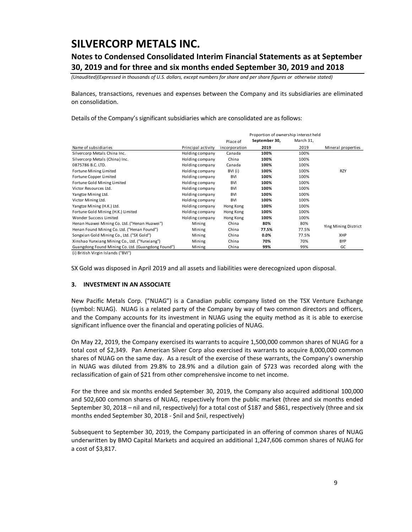### **Notes to Condensed Consolidated Interim Financial Statements as at September 30, 2019 and for three and six months ended September 30, 2019 and 2018**

*(Unaudited)(Expressed in thousands of U.S. dollars, except numbers for share and per share figures or otherwise stated)*

Balances, transactions, revenues and expenses between the Company and its subsidiaries are eliminated on consolidation.

Details of the Company's significant subsidiaries which are consolidated are as follows:

|                    | Place of      | September 30, | March 31, |                                       |
|--------------------|---------------|---------------|-----------|---------------------------------------|
| Principal activity | incorporation | 2019          | 2019      | Mineral properties                    |
| Holding company    | Canada        | 100%          | 100%      |                                       |
| Holding company    | China         | 100%          | 100%      |                                       |
| Holding company    | Canada        | 100%          | 100%      |                                       |
| Holding company    | BVI (i)       | 100%          | 100%      | <b>RZY</b>                            |
| Holding company    | BVI           | 100%          | 100%      |                                       |
| Holding company    | BVI           | 100%          | 100%      |                                       |
| Holding company    | BVI           | 100%          | 100%      |                                       |
| Holding company    | <b>BVI</b>    | 100%          | 100%      |                                       |
| Holding company    | <b>BVI</b>    | 100%          | 100%      |                                       |
| Holding company    | Hong Kong     | 100%          | 100%      |                                       |
| Holding company    | Hong Kong     | 100%          | 100%      |                                       |
| Holding company    | Hong Kong     | 100%          | 100%      |                                       |
| Mining             | China         | 80%           | 80%       | Ying Mining District                  |
| Mining             | China         | 77.5%         | 77.5%     |                                       |
| Mining             | China         | $0.0\%$       | 77.5%     | XHP                                   |
| Mining             | China         | 70%           | 70%       | <b>BYP</b>                            |
| Mining             | China         | 99%           | 99%       | GC                                    |
|                    |               |               |           | Proportion of ownership interest held |

(i) British Virgin Islands ("BVI")

SX Gold was disposed in April 2019 and all assets and liabilities were derecognized upon disposal.

#### **3. INVESTMENT IN AN ASSOCIATE**

New Pacific Metals Corp. ("NUAG") is a Canadian public company listed on the TSX Venture Exchange (symbol: NUAG). NUAG is a related party of the Company by way of two common directors and officers, and the Company accounts for its investment in NUAG using the equity method as it is able to exercise significant influence over the financial and operating policies of NUAG.

On May 22, 2019, the Company exercised its warrants to acquire 1,500,000 common shares of NUAG for a total cost of \$2,349. Pan American Silver Corp also exercised its warrants to acquire 8,000,000 common shares of NUAG on the same day. As a result of the exercise of these warrants, the Company's ownership in NUAG was diluted from 29.8% to 28.9% and a dilution gain of \$723 was recorded along with the reclassification of gain of \$21 from other comprehensive income to net income.

For the three and six months ended September 30, 2019, the Company also acquired additional 100,000 and 502,600 common shares of NUAG, respectively from the public market (three and six months ended September 30, 2018 – nil and nil, respectively) for a total cost of \$187 and \$861, respectively (three and six months ended September 30, 2018 - \$nil and \$nil, respectively)

Subsequent to September 30, 2019, the Company participated in an offering of common shares of NUAG underwritten by BMO Capital Markets and acquired an additional 1,247,606 common shares of NUAG for a cost of \$3,817.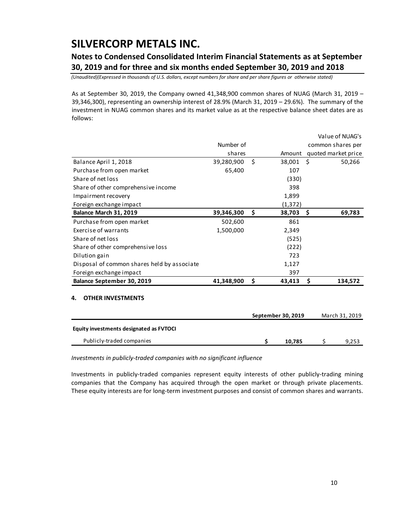### **Notes to Condensed Consolidated Interim Financial Statements as at September 30, 2019 and for three and six months ended September 30, 2019 and 2018**

*(Unaudited)(Expressed in thousands of U.S. dollars, except numbers for share and per share figures or otherwise stated)*

As at September 30, 2019, the Company owned 41,348,900 common shares of NUAG (March 31, 2019 – 39,346,300), representing an ownership interest of 28.9% (March 31, 2019 – 29.6%). The summary of the investment in NUAG common shares and its market value as at the respective balance sheet dates are as follows:

|                                             |            |                 |      | Value of NUAG's     |
|---------------------------------------------|------------|-----------------|------|---------------------|
|                                             | Number of  |                 |      | common shares per   |
|                                             | shares     | Amount          |      | quoted market price |
| Balance April 1, 2018                       | 39,280,900 | \$<br>38,001    | - \$ | 50,266              |
| Purchase from open market                   | 65,400     | 107             |      |                     |
| Share of net loss                           |            | (330)           |      |                     |
| Share of other comprehensive income         |            | 398             |      |                     |
| Impairment recovery                         |            | 1,899           |      |                     |
| Foreign exchange impact                     |            | (1, 372)        |      |                     |
| Balance March 31, 2019                      | 39,346,300 | \$<br>38,703 \$ |      | 69,783              |
| Purchase from open market                   | 502,600    | 861             |      |                     |
| Exercise of warrants                        | 1,500,000  | 2,349           |      |                     |
| Share of net loss                           |            | (525)           |      |                     |
| Share of other comprehensive loss           |            | (222)           |      |                     |
| Dilution gain                               |            | 723             |      |                     |
| Disposal of common shares held by associate |            | 1,127           |      |                     |
| Foreign exchange impact                     |            | 397             |      |                     |
| Balance September 30, 2019                  | 41,348,900 | \$<br>43,413    | \$   | 134,572             |
| <b>OTHER INVESTMENTS</b><br>4.              |            |                 |      |                     |

|                                         | September 30, 2019 | March 31, 2019 |
|-----------------------------------------|--------------------|----------------|
| Equity investments designated as FVTOCI |                    |                |
| Publicly-traded companies               | 10.785             | 9,253          |

*Investments in publicly-traded companies with no significant influence*

Investments in publicly-traded companies represent equity interests of other publicly-trading mining companies that the Company has acquired through the open market or through private placements. These equity interests are for long-term investment purposes and consist of common shares and warrants.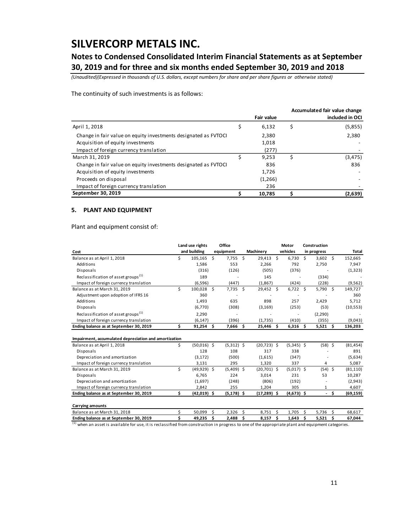### **Notes to Condensed Consolidated Interim Financial Statements as at September 30, 2019 and for three and six months ended September 30, 2019 and 2018**

*(Unaudited)(Expressed in thousands of U.S. dollars, except numbers for share and per share figures or otherwise stated)*

The continuity of such investments is as follows:

|                                                                 |                   | Accumulated fair value change |
|-----------------------------------------------------------------|-------------------|-------------------------------|
|                                                                 | <b>Fair value</b> | included in OCI               |
| April 1, 2018                                                   | 6,132             | \$<br>(5,855)                 |
| Change in fair value on equity investments designated as FVTOCI | 2.380             | 2,380                         |
| Acquisition of equity investments                               | 1,018             |                               |
| Impact of foreign currency translation                          | (277)             |                               |
| March 31, 2019                                                  | 9.253             | \$<br>(3,475)                 |
| Change in fair value on equity investments designated as FVTOCI | 836               | 836                           |
| Acquisition of equity investments                               | 1.726             |                               |
| Proceeds on disposal                                            | (1,266)           |                               |
| Impact of foreign currency translation                          | 236               |                               |
| September 30, 2019                                              | 10.785            | (2,639)                       |

#### **5. PLANT AND EQUIPMENT**

Plant and equipment consist of:

|                                                       |    | Land use rights |    | Office        |            |                |                      | Motor        |    | Construction |                      |              |
|-------------------------------------------------------|----|-----------------|----|---------------|------------|----------------|----------------------|--------------|----|--------------|----------------------|--------------|
| Cost                                                  |    | and building    |    | equipment     |            | Machinery      |                      | vehicles     |    | in progress  |                      | <b>Total</b> |
| Balance as at April 1, 2018                           | Ś. | 105,165         | \$ | 7,755         | \$         | $29,413$ \$    |                      | 6,730        | Ŝ. | $3,602$ \$   |                      | 152,665      |
| Additions                                             |    | 1,586           |    | 553           |            | 2,266          |                      | 792          |    | 2,750        |                      | 7,947        |
| Disposals                                             |    | (316)           |    | (126)         |            | (505)          |                      | (376)        |    |              |                      | (1, 323)     |
| Reclassification of asset groups <sup>(1)</sup>       |    | 189             |    |               |            | 145            |                      |              |    | (334)        |                      |              |
| Impact of foreign currency translation                |    | (6, 596)        |    | (447)         |            | (1,867)        |                      | (424)        |    | (228)        |                      | (9, 562)     |
| Balance as at March 31, 2019                          | Ś. | 100,028         | Ŝ. | 7,735 \$      |            | 29,452 \$      |                      | $6,722$ \$   |    | 5,790 \$     |                      | 149,727      |
| Adjustment upon adoption of IFRS 16                   |    | 360             |    |               |            |                |                      |              |    |              |                      | 360          |
| Additions                                             |    | 1,493           |    | 635           |            | 898            |                      | 257          |    | 2,429        |                      | 5,712        |
| Disposals                                             |    | (6,770)         |    | (308)         |            | (3, 169)       |                      | (253)        |    | (53)         |                      | (10, 553)    |
| Reclassification of asset groups <sup>(1)</sup>       |    | 2,290           |    |               |            |                |                      |              |    | (2,290)      |                      |              |
| Impact of foreign currency translation                |    | (6, 147)        |    | (396)         |            | (1,735)        |                      | (410)        |    | (355)        |                      | (9,043)      |
| Ending balance as at September 30, 2019               | Ś. | $91,254$ \$     |    | 7,666         | Ŝ.         | $25,446$ \$    |                      | $6,316$ \$   |    | $5,521$ \$   |                      | 136,203      |
| Impairment, accumulated depreciation and amortization |    |                 |    |               |            |                |                      |              |    |              |                      |              |
| Balance as at April 1, 2018                           | \$ | $(50,016)$ \$   |    | $(5,312)$ \$  |            | $(20, 723)$ \$ |                      | $(5,345)$ \$ |    | $(58)$ \$    |                      | (81, 454)    |
| Disposals                                             |    | 128             |    | 108           |            | 317            |                      | 338          |    |              |                      | 891          |
| Depreciation and amortization                         |    | (3, 172)        |    | (500)         |            | (1,615)        |                      | (347)        |    |              |                      | (5,634)      |
| Impact of foreign currency translation                |    | 3,131           |    | 295           |            | 1,320          |                      | 337          |    | 4            |                      | 5,087        |
| Balance as at March 31, 2019                          | Ś. | $(49, 929)$ \$  |    | $(5,409)$ \$  |            | $(20,701)$ \$  |                      | $(5,017)$ \$ |    | $(54)$ \$    |                      | (81, 110)    |
| Disposals                                             |    | 6.765           |    | 224           |            | 3.014          |                      | 231          |    | 53           |                      | 10,287       |
| Depreciation and amortization                         |    | (1,697)         |    | (248)         |            | (806)          |                      | (192)        |    |              |                      | (2,943)      |
| Impact of foreign currency translation                |    | 2,842           |    | 255           |            | 1,204          |                      | 305          |    | 1            |                      | 4,607        |
| Ending balance as at September 30, 2019               | \$ | $(42,019)$ \$   |    | $(5, 178)$ \$ |            | $(17,289)$ \$  |                      | $(4,673)$ \$ |    |              | - \$                 | (69, 159)    |
| <b>Carrying amounts</b>                               |    |                 |    |               |            |                |                      |              |    |              |                      |              |
| Balance as at March 31, 2018                          | Ś  | 50,099          | \$ | 2,326         | \$         | 8,751          | \$                   | 1,705        | \$ | 5,736        | \$                   | 68,617       |
| Ending halance as at Sentember 30, 2019               | ¢  | 49 235          | ¢  | 2488          | $\epsilon$ | 8157           | $\ddot{\phantom{1}}$ | 1.643        | ¢  | 5521         | $\ddot{\phantom{1}}$ | 67.044       |

Ending balance as at September 30, 2019  $\begin{array}{ccc} 5 & 49,235 & 5 & 2,488 & 5 & 8,157 & 5 & 1,643 & 5 & 5,521 & 5 & 67,044 \end{array}$ <br>(1) when an asset is available for use, it is reclassified from construction in progress to one of the ap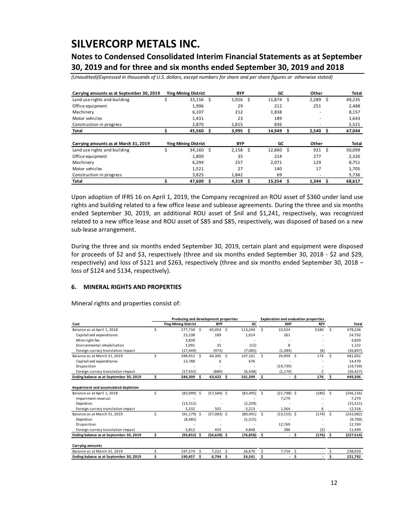### **Notes to Condensed Consolidated Interim Financial Statements as at September 30, 2019 and for three and six months ended September 30, 2019 and 2018**

*(Unaudited)(Expressed in thousands of U.S. dollars, except numbers for share and per share figures or otherwise stated)*

| Carrying amounts as at September 30, 2019 |    | <b>Ying Mining District</b> |    | <b>BYP</b> |    | GC     |     | Other |    | Total  |
|-------------------------------------------|----|-----------------------------|----|------------|----|--------|-----|-------|----|--------|
| Land use rights and building              | \$ | 33,156                      | -Ŝ | 1,916      | Ŝ  | 11,874 | Ŝ.  | 2,289 | Ŝ  | 49,235 |
| Office equipment                          |    | 1,996                       |    | 29         |    | 212    |     | 251   |    | 2,488  |
| Machinery                                 |    | 6,107                       |    | 212        |    | 1,838  |     |       |    | 8,157  |
| Motor vehicles                            |    | 1,431                       |    | 23         |    | 189    |     |       |    | 1,643  |
| Construction in progress                  |    | 2,870                       |    | 1,815      |    | 836    |     |       |    | 5,521  |
| Total                                     |    | 45,560                      | S  | 3,995      | S  | 14,949 | S   | 2,540 | S  | 67,044 |
|                                           |    |                             |    |            |    |        |     |       |    |        |
| Carrying amounts as at March 31, 2019     |    | <b>Ying Mining District</b> |    | <b>BYP</b> |    | GC     |     | Other |    | Total  |
| Land use rights and building              | Ś  | 34,160                      | Ŝ  | 2,158      | Ŝ  | 12,860 | - Ś | 921   | Ś  | 50,099 |
| Office equipment                          |    | 1,800                       |    | 35         |    | 214    |     | 277   |    | 2,326  |
| Machinery                                 |    | 6,294                       |    | 257        |    | 2,071  |     | 129   |    | 8,751  |
| Motor vehicles                            |    | 1,521                       |    | 27         |    | 140    |     | 17    |    | 1,705  |
| Construction in progress                  |    | 3.825                       |    | 1.842      |    | 69     |     |       |    | 5,736  |
| Total                                     |    | 47,600                      | \$ | 4,319      | \$ | 15,354 | \$. | 1,344 | \$ | 68,617 |

#### **6. MINERAL RIGHTS AND PROPERTIES**

| Land use rights and building<br>Office equipment                                                                                                                                                                                                                                              | \$<br>33,156                                 | \$                      | 1,916      |                  |              |                  |                                              |          |                        |
|-----------------------------------------------------------------------------------------------------------------------------------------------------------------------------------------------------------------------------------------------------------------------------------------------|----------------------------------------------|-------------------------|------------|------------------|--------------|------------------|----------------------------------------------|----------|------------------------|
|                                                                                                                                                                                                                                                                                               |                                              |                         |            | \$               | 11,874       | \$               | 2,289                                        | \$       | 49,235                 |
|                                                                                                                                                                                                                                                                                               | 1,996                                        |                         | 29         |                  | 212          |                  | 251                                          |          | 2,488                  |
| Machinery                                                                                                                                                                                                                                                                                     | 6,107                                        |                         | 212        |                  | 1,838        |                  |                                              |          | 8,157                  |
| Motor vehicles                                                                                                                                                                                                                                                                                | 1,431                                        |                         | 23         |                  | 189          |                  |                                              |          | 1,643                  |
| Construction in progress                                                                                                                                                                                                                                                                      | 2,870                                        |                         | 1,815      |                  | 836          |                  |                                              |          | 5,521                  |
| Total                                                                                                                                                                                                                                                                                         | \$<br>45,560                                 | \$                      | 3,995      | \$               | 14,949       | \$               | 2,540                                        | \$       | 67,044                 |
|                                                                                                                                                                                                                                                                                               |                                              |                         |            |                  |              |                  |                                              |          |                        |
| Carrying amounts as at March 31, 2019                                                                                                                                                                                                                                                         | <b>Ying Mining District</b>                  |                         | <b>BYP</b> |                  | GC           |                  | Other                                        |          | Total                  |
| Land use rights and building                                                                                                                                                                                                                                                                  | \$<br>34,160                                 | \$                      | 2,158      | \$               | 12,860       | \$               | 921                                          | \$       | 50,099                 |
| Office equipment                                                                                                                                                                                                                                                                              | 1,800                                        |                         | 35         |                  | 214          |                  | 277                                          |          | 2,326                  |
| Machinery<br>Motor vehicles                                                                                                                                                                                                                                                                   | 6,294                                        |                         | 257<br>27  |                  | 2,071<br>140 |                  | 129<br>17                                    |          | 8,751<br>1,705         |
| Construction in progress                                                                                                                                                                                                                                                                      | 1,521<br>3,825                               |                         | 1,842      |                  | 69           |                  |                                              |          | 5,736                  |
| Total                                                                                                                                                                                                                                                                                         | \$<br>47,600                                 | \$                      | 4,319      | \$               | 15,354       | \$               | 1,344                                        | \$       | 68,617                 |
| sub-lease arrangement.<br>During the three and six months ended September 30, 2019, certain plant and equipment were disposed<br>for proceeds of \$2 and \$3, respectively (three and six months ended September 30, 2018 - \$2 and \$29,                                                     |                                              |                         |            |                  |              |                  |                                              |          |                        |
| <b>MINERAL RIGHTS AND PROPERTIES</b>                                                                                                                                                                                                                                                          |                                              |                         |            |                  |              |                  |                                              |          |                        |
|                                                                                                                                                                                                                                                                                               |                                              |                         |            |                  |              |                  |                                              |          |                        |
|                                                                                                                                                                                                                                                                                               | Producing and development properties         |                         |            |                  |              |                  | <b>Exploration and evaluation properties</b> |          |                        |
| Cost<br>\$                                                                                                                                                                                                                                                                                    | <b>Ying Mining District</b><br>277,734<br>\$ | <b>BYP</b><br>65,054 \$ |            | GC<br>113,244    | \$<br>22,024 | XHP              | RZY<br>\$180                                 | \$       | Total<br>478,236       |
| Capitalized expenditures                                                                                                                                                                                                                                                                      | 23,238                                       | 189                     |            | 1,014            |              | 261              |                                              |          | 24,702                 |
| Mine right fee                                                                                                                                                                                                                                                                                | 3,839                                        |                         |            |                  |              |                  |                                              |          | 3,839                  |
| Environmental rehabiliation                                                                                                                                                                                                                                                                   | 1,091                                        | 35                      |            | (12)             |              | 8                |                                              |          | 1,122                  |
| Foreign currecy translation impact                                                                                                                                                                                                                                                            | (17, 449)                                    | (973)                   |            | (7,085)          |              | (1, 384)         | (6)                                          |          | (26,897)               |
| \$<br>Balance as at March 31, 2019<br>Capitalized expenditures                                                                                                                                                                                                                                | 288,453<br>13,788                            | \$<br>64,305<br>6       | \$         | 107,161<br>676   | \$           | 20,909           | \$<br>174                                    | \$       | 481,002<br>14,470      |
| Disposition                                                                                                                                                                                                                                                                                   |                                              |                         |            |                  | (19, 739)    |                  |                                              |          | (19, 739)              |
| Foreign currecy translation impact                                                                                                                                                                                                                                                            | (17, 932)                                    | (889)                   |            | (6, 438)         |              | (1, 170)         | 2                                            |          | (26, 427)              |
| \$<br>Ending balance as at September 30, 2019                                                                                                                                                                                                                                                 | 284,309                                      | \$.<br>63.422           | \$         | 101,399          | \$           |                  | \$.<br>176                                   | \$       | 449,306                |
| Impairment and accumulated depletion                                                                                                                                                                                                                                                          |                                              |                         |            |                  |              |                  |                                              |          |                        |
|                                                                                                                                                                                                                                                                                               | $(83,099)$ \$                                | (57, 584)               |            | (83, 495)        |              | (21, 798)        | (180)                                        | \$       | (246,156)              |
| Impairment reversal<br>Depletion                                                                                                                                                                                                                                                              |                                              |                         |            |                  |              | 7,279            |                                              |          | 7,279                  |
| Foreign currecy translation impact                                                                                                                                                                                                                                                            | (13, 312)<br>5,232                           | 501                     |            | (2,209)<br>5,213 |              | 1,364            | 6                                            |          | 12,316                 |
| Balance as at March 31, 2019<br>\$                                                                                                                                                                                                                                                            | $(91, 179)$ \$                               | $(57,083)$ \$           |            | $(80, 491)$ \$   |              | $(13, 155)$ \$   | (174)                                        | \$       | (15, 521)<br>(242,082) |
| Depletion                                                                                                                                                                                                                                                                                     | (8, 485)                                     |                         |            | (1,215)          |              |                  |                                              |          | (9,700)                |
| Disposition                                                                                                                                                                                                                                                                                   | 5,812                                        | 455                     |            | 4,848            | 12,769       | 386              |                                              |          | 12,769                 |
| Balance as at April 1, 2018<br>Balance as at April 1, 2018<br>Foreign currecy translation impact<br>Ending balance as at September 30, 2019<br>\$                                                                                                                                             | (93,852)\$                                   | $(56, 628)$ \$          |            | (76,858)         | \$.          |                  | (2)<br>\$<br>(176)                           | \$       | 11,499<br>(227,514)    |
| Carrying amounts                                                                                                                                                                                                                                                                              |                                              |                         |            |                  |              |                  |                                              |          |                        |
| respectively) and loss of \$121 and \$263, respectively (three and six months ended September 30, 2018 -<br>loss of \$124 and \$134, respectively).<br>6.<br>Mineral rights and properties consist of:<br>Balance as at March 31, 2019<br>\$<br>Ending balance as at September 30, 2019<br>\$ | 197,274 \$<br>190,457<br>\$                  | 7,222 \$<br>6,794       | \$         | 26,670<br>24,541 | \$<br>\$     | 7,754 \$<br>- \$ | $\blacksquare$                               | \$<br>\$ | 238,920<br>221,792     |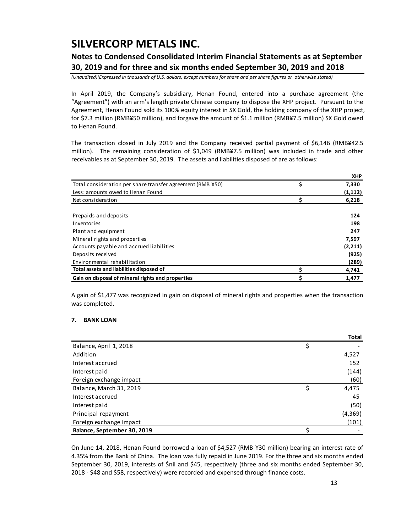### **Notes to Condensed Consolidated Interim Financial Statements as at September 30, 2019 and for three and six months ended September 30, 2019 and 2018**

*(Unaudited)(Expressed in thousands of U.S. dollars, except numbers for share and per share figures or otherwise stated)*

In April 2019, the Company's subsidiary, Henan Found, entered into a purchase agreement (the "Agreement") with an arm's length private Chinese company to dispose the XHP project. Pursuant to the Agreement, Henan Found sold its 100% equity interest in SX Gold, the holding company of the XHP project, for \$7.3 million (RMB¥50 million), and forgave the amount of \$1.1 million (RMB¥7.5 million) SX Gold owed to Henan Found.

The transaction closed in July 2019 and the Company received partial payment of \$6,146 (RMB¥42.5 million). The remaining consideration of \$1,049 (RMB¥7.5 million) was included in trade and other receivables as at September 30, 2019. The assets and liabilities disposed of are as follows:

|                                                            |    | <b>XHP</b> |
|------------------------------------------------------------|----|------------|
| Total consideration per share transfer agreement (RMB ¥50) | \$ | 7,330      |
| Less: amounts owed to Henan Found                          |    | (1, 112)   |
| Net consideration                                          | \$ | 6,218      |
| Prepaids and deposits                                      |    | 124        |
| Inventories                                                |    | 198        |
| Plant and equipment                                        |    | 247        |
| Mineral rights and properties                              |    | 7,597      |
| Accounts payable and accrued liabilities                   |    | (2,211)    |
| Deposits received                                          |    | (925)      |
| Environmental rehabilitation                               |    | (289)      |
| Total assets and liabilities disposed of                   | ς  | 4,741      |
| Gain on disposal of mineral rights and properties          | S  | 1,477      |

A gain of \$1,477 was recognized in gain on disposal of mineral rights and properties when the transaction was completed.

#### **7. BANK LOAN**

|                             | Total       |
|-----------------------------|-------------|
| Balance, April 1, 2018      |             |
| Addition                    | 4,527       |
| Interest accrued            | 152         |
| Interest paid               | (144)       |
| Foreign exchange impact     | (60)        |
| Balance, March 31, 2019     | \$<br>4,475 |
| Interest accrued            | 45          |
| Interest paid               | (50)        |
| Principal repayment         | (4,369)     |
| Foreign exchange impact     | (101)       |
| Balance, September 30, 2019 |             |

On June 14, 2018, Henan Found borrowed a loan of \$4,527 (RMB ¥30 million) bearing an interest rate of 4.35% from the Bank of China. The loan was fully repaid in June 2019. For the three and six months ended September 30, 2019, interests of \$nil and \$45, respectively (three and six months ended September 30, 2018 - \$48 and \$58, respectively) were recorded and expensed through finance costs.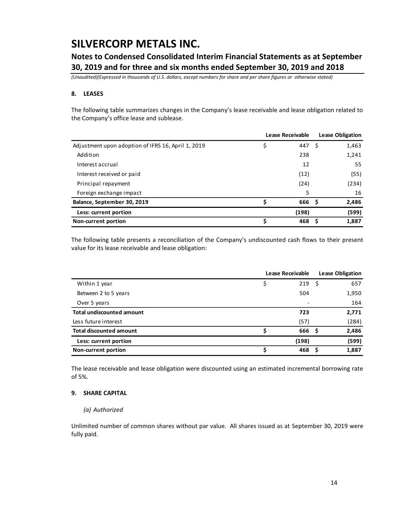### **Notes to Condensed Consolidated Interim Financial Statements as at September 30, 2019 and for three and six months ended September 30, 2019 and 2018**

*(Unaudited)(Expressed in thousands of U.S. dollars, except numbers for share and per share figures or otherwise stated)*

#### **8. LEASES**

The following table summarizes changes in the Company's lease receivable and lease obligation related to the Company's office lease and sublease.

|                                                    |    | <b>Lease Receivable</b> |     | <b>Lease Obligation</b> |
|----------------------------------------------------|----|-------------------------|-----|-------------------------|
| Adjustment upon adoption of IFRS 16, April 1, 2019 | \$ | 447                     | - Ś | 1,463                   |
| Addition                                           |    | 238                     |     | 1,241                   |
| Interest accrual                                   |    | 12                      |     | 55                      |
| Interest received or paid                          |    | (12)                    |     | (55)                    |
| Principal repayment                                |    | (24)                    |     | (234)                   |
| Foreign exchange impact                            |    | 5                       |     | 16                      |
| Balance, September 30, 2019                        | Ś  | 666 \$                  |     | 2,486                   |
| Less: current portion                              |    | (198)                   |     | (599)                   |
| Non-current portion                                | Ś  | 468                     |     | 1,887                   |

The following table presents a reconciliation of the Company's undiscounted cash flows to their present value for its lease receivable and lease obligation:

|                                  | Lease Receivable |        |     | <b>Lease Obligation</b> |
|----------------------------------|------------------|--------|-----|-------------------------|
| Within 1 year                    |                  | 219    | -\$ | 657                     |
| Between 2 to 5 years             |                  | 504    |     | 1,950                   |
| Over 5 years                     |                  |        |     | 164                     |
| <b>Total undiscounted amount</b> |                  | 723    |     | 2,771                   |
| Less future interest             |                  | (57)   |     | (284)                   |
| <b>Total discounted amount</b>   |                  | 666 \$ |     | 2,486                   |
| Less: current portion            |                  | (198)  |     | (599)                   |
| Non-current portion              |                  | 468    |     | 1,887                   |

The lease receivable and lease obligation were discounted using an estimated incremental borrowing rate of 5%.

#### **9. SHARE CAPITAL**

#### *(a) Authorized*

Unlimited number of common shares without par value. All shares issued as at September 30, 2019 were fully paid.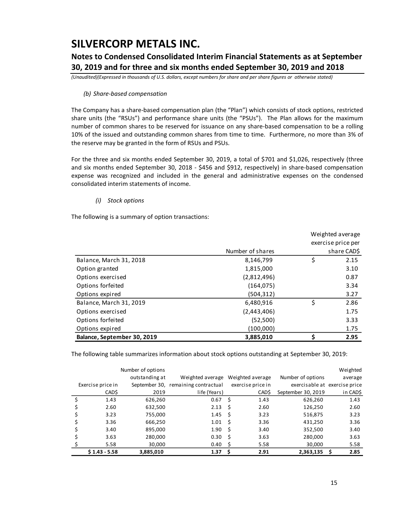### **Notes to Condensed Consolidated Interim Financial Statements as at September 30, 2019 and for three and six months ended September 30, 2019 and 2018**

*(Unaudited)(Expressed in thousands of U.S. dollars, except numbers for share and per share figures or otherwise stated)*

#### *(b) Share-based compensation*

The Company has a share-based compensation plan (the "Plan") which consists of stock options, restricted share units (the "RSUs") and performance share units (the "PSUs"). The Plan allows for the maximum number of common shares to be reserved for issuance on any share-based compensation to be a rolling 10% of the issued and outstanding common shares from time to time. Furthermore, no more than 3% of the reserve may be granted in the form of RSUs and PSUs.

For the three and six months ended September 30, 2019, a total of \$701 and \$1,026, respectively (three and six months ended September 30, 2018 - \$456 and \$912, respectively) in share-based compensation expense was recognized and included in the general and administrative expenses on the condensed consolidated interim statements of income.

#### *(i) Stock options*

The following is a summary of option transactions:

|                             |                  | Weighted average   |
|-----------------------------|------------------|--------------------|
|                             |                  | exercise price per |
|                             | Number of shares | share CAD\$        |
| Balance, March 31, 2018     | 8,146,799        | \$<br>2.15         |
| Option granted              | 1,815,000        | 3.10               |
| Options exercised           | (2,812,496)      | 0.87               |
| Options forfeited           | (164, 075)       | 3.34               |
| Options expired             | (504,312)        | 3.27               |
| Balance, March 31, 2019     | 6,480,916        | \$<br>2.86         |
| Options exercised           | (2,443,406)      | 1.75               |
| Options forfeited           | (52, 500)        | 3.33               |
| Options expired             | (100,000)        | 1.75               |
| Balance, September 30, 2019 | 3,885,010        | \$<br>2.95         |

The following table summarizes information about stock options outstanding at September 30, 2019:

|                   | Number of options |                                     |    |                   |                               | Weighted  |
|-------------------|-------------------|-------------------------------------|----|-------------------|-------------------------------|-----------|
|                   | outstanding at    | Weighted average                    |    | Weighted average  | Number of options             | average   |
| Exercise price in |                   | September 30, remaining contractual |    | exercise price in | exercisable at exercise price |           |
| CAD\$             | 2019              | life (Years)                        |    | CAD\$             | September 30, 2019            | in CAD\$  |
| 1.43              | 626,260           | 0.67                                | .s | 1.43              | 626,260                       | 1.43      |
| 2.60              | 632,500           | 2.13                                | Ŝ. | 2.60              | 126,250                       | 2.60      |
| 3.23              | 755,000           | 1.45                                | Ś  | 3.23              | 516,875                       | 3.23      |
| 3.36              | 666,250           | 1.01                                | Ŝ  | 3.36              | 431,250                       | 3.36      |
| 3.40              | 895,000           | 1.90                                | Ś  | 3.40              | 352,500                       | 3.40      |
| 3.63              | 280,000           | 0.30                                | Ś  | 3.63              | 280,000                       | 3.63      |
| 5.58              | 30.000            | 0.40                                | S  | 5.58              | 30,000                        | 5.58      |
| $$1.43 - 5.58$    | 3,885,010         | 1.37                                | S  | 2.91              | 2,363,135                     | 2.85<br>S |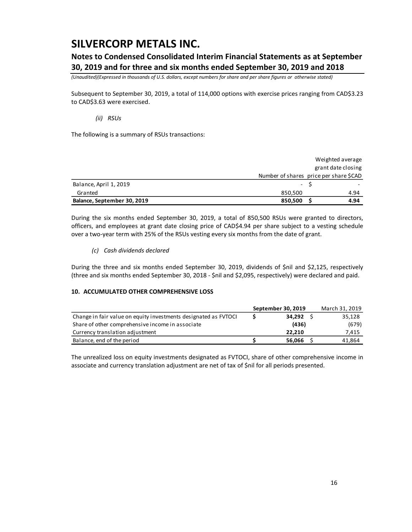### **Notes to Condensed Consolidated Interim Financial Statements as at September 30, 2019 and for three and six months ended September 30, 2019 and 2018**

*(Unaudited)(Expressed in thousands of U.S. dollars, except numbers for share and per share figures or otherwise stated)*

Subsequent to September 30, 2019, a total of 114,000 options with exercise prices ranging from CAD\$3.23 to CAD\$3.63 were exercised.

*(ii) RSUs*

The following is a summary of RSUs transactions:

|                             |                                        |       | Weighted average   |
|-----------------------------|----------------------------------------|-------|--------------------|
|                             |                                        |       | grant date closing |
|                             | Number of shares price per share \$CAD |       |                    |
| Balance, April 1, 2019      |                                        | $-$ 5 |                    |
| Granted                     | 850,500                                |       | 4.94               |
| Balance, September 30, 2019 | 850,500                                |       | 4.94               |

During the six months ended September 30, 2019, a total of 850,500 RSUs were granted to directors, officers, and employees at grant date closing price of CAD\$4.94 per share subject to a vesting schedule over a two-year term with 25% of the RSUs vesting every six months from the date of grant.

*(c) Cash dividends declared*

During the three and six months ended September 30, 2019, dividends of \$nil and \$2,125, respectively (three and six months ended September 30, 2018 - \$nil and \$2,095, respectively) were declared and paid.

#### **10. ACCUMULATED OTHER COMPREHENSIVE LOSS**

|                                                                 | September 30, 2019 | March 31, 2019 |
|-----------------------------------------------------------------|--------------------|----------------|
| Change in fair value on equity investments designated as FVTOCI | 34.292             | 35,128         |
| Share of other comprehensive income in associate                | (436)              | (679)          |
| Currency translation adjustment                                 | 22.210             | 7,415          |
| Balance, end of the period                                      | 56.066             | 41.864         |

The unrealized loss on equity investments designated as FVTOCI, share of other comprehensive income in associate and currency translation adjustment are net of tax of \$nil for all periods presented.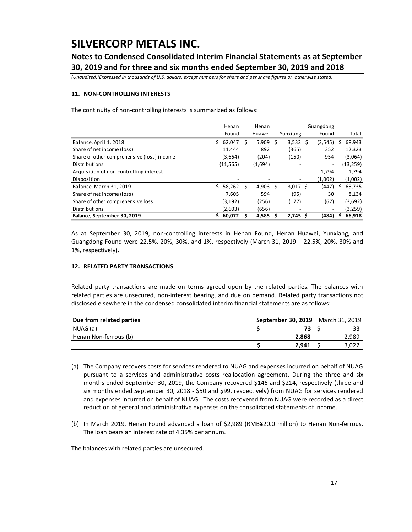### **Notes to Condensed Consolidated Interim Financial Statements as at September 30, 2019 and for three and six months ended September 30, 2019 and 2018**

*(Unaudited)(Expressed in thousands of U.S. dollars, except numbers for share and per share figures or otherwise stated)*

#### **11. NON-CONTROLLING INTERESTS**

The continuity of non-controlling interests is summarized as follows:

|                                            | Henan        |   | Henan   |   | Guangdong  |                          |   |          |
|--------------------------------------------|--------------|---|---------|---|------------|--------------------------|---|----------|
|                                            | Found        |   | Huawei  |   | Yunxiang   | Found                    |   | Total    |
| Balance, April 1, 2018                     | Ś.<br>62,047 | s | 5,909   | s | 3,532      | (2,545)<br>S             | S | 68,943   |
| Share of net income (loss)                 | 11.444       |   | 892     |   | (365)      | 352                      |   | 12,323   |
| Share of other comprehensive (loss) income | (3,664)      |   | (204)   |   | (150)      | 954                      |   | (3,064)  |
| Distributions                              | (11, 565)    |   | (1,694) |   | -          | $\overline{\phantom{0}}$ |   | (13,259) |
| Acquisition of non-controlling interest    |              |   |         |   |            | 1.794                    |   | 1,794    |
| Disposition                                |              |   |         |   | -          | (1,002)                  |   | (1,002)  |
| Balance, March 31, 2019                    | Ś.<br>58,262 | S | 4,903   | S | $3,017$ \$ | (447)                    | S | 65,735   |
| Share of net income (loss)                 | 7.605        |   | 594     |   | (95)       | 30                       |   | 8,134    |
| Share of other comprehensive loss          | (3, 192)     |   | (256)   |   | (177)      | (67)                     |   | (3,692)  |
| Distributions                              | (2,603)      |   | (656)   |   |            |                          |   | (3,259)  |
| Balance, September 30, 2019                | 60,072<br>S  |   | 4.585   | S | 2.745S     | (484)                    |   | 66,918   |

As at September 30, 2019, non-controlling interests in Henan Found, Henan Huawei, Yunxiang, and Guangdong Found were 22.5%, 20%, 30%, and 1%, respectively (March 31, 2019 – 22.5%, 20%, 30% and 1%, respectively).

#### **12. RELATED PARTY TRANSACTIONS**

Related party transactions are made on terms agreed upon by the related parties. The balances with related parties are unsecured, non-interest bearing, and due on demand. Related party transactions not

| disclosed elsewhere in the condensed consolidated interim financial statements are as follows: |                                   |       |  |       |  |  |
|------------------------------------------------------------------------------------------------|-----------------------------------|-------|--|-------|--|--|
| Due from related parties                                                                       | September 30, 2019 March 31, 2019 |       |  |       |  |  |
| NUAG (a)                                                                                       |                                   | 73 S  |  | 33    |  |  |
| Henan Non-ferrous (b)                                                                          |                                   | 2.868 |  | 2,989 |  |  |
|                                                                                                |                                   | 2.941 |  | 3.022 |  |  |

- (a) The Company recovers costs for services rendered to NUAG and expenses incurred on behalf of NUAG pursuant to a services and administrative costs reallocation agreement. During the three and six months ended September 30, 2019, the Company recovered \$146 and \$214, respectively (three and six months ended September 30, 2018 - \$50 and \$99, respectively) from NUAG for services rendered and expenses incurred on behalf of NUAG. The costs recovered from NUAG were recorded as a direct reduction of general and administrative expenses on the consolidated statements of income.
- (b) In March 2019, Henan Found advanced a loan of \$2,989 (RMB¥20.0 million) to Henan Non-ferrous. The loan bears an interest rate of 4.35% per annum.

The balances with related parties are unsecured.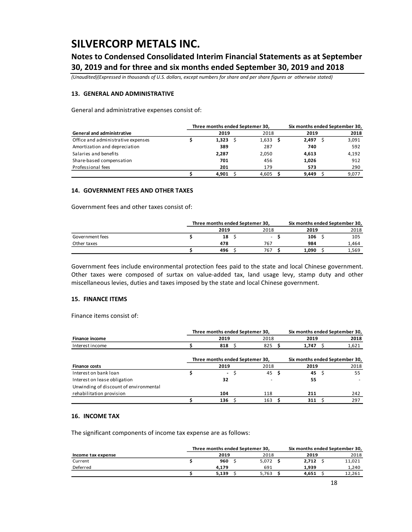### **Notes to Condensed Consolidated Interim Financial Statements as at September 30, 2019 and for three and six months ended September 30, 2019 and 2018**

*(Unaudited)(Expressed in thousands of U.S. dollars, except numbers for share and per share figures or otherwise stated)*

#### **13. GENERAL AND ADMINISTRATIVE**

General and administrative expenses consist of:

|                                    | Three months ended Septemer 30, |       | Six months ended September 30, |       |  |  |
|------------------------------------|---------------------------------|-------|--------------------------------|-------|--|--|
| <b>General and administrative</b>  | 2019                            | 2018  | 2019                           | 2018  |  |  |
| Office and administrative expenses | 1,323                           | 1,633 | 2.497                          | 3,091 |  |  |
| Amortization and depreciation      | 389                             | 287   | 740                            | 592   |  |  |
| Salaries and benefits              | 2,287                           | 2,050 | 4,613                          | 4,192 |  |  |
| Share-based compensation           | 701                             | 456   | 1,026                          | 912   |  |  |
| Professional fees                  | 201                             | 179   | 573                            | 290   |  |  |
|                                    | 4.901                           | 4,605 | 9.449                          | 9,077 |  |  |

#### **14. GOVERNMENT FEES AND OTHER TAXES**

Government fees and other taxes consist of:

|                 | Three months ended Septemer 30, | Six months ended September 30, |       |       |  |
|-----------------|---------------------------------|--------------------------------|-------|-------|--|
|                 | 2019                            | 2018                           | 2019  | 2018  |  |
| Government fees | 18                              |                                | 106   | 105   |  |
| Other taxes     | 478                             | 767                            | 984   | 1,464 |  |
|                 | 496                             | 767                            | 1.090 | 1,569 |  |

Government fees include environmental protection fees paid to the state and local Chinese government. Other taxes were composed of surtax on value-added tax, land usage levy, stamp duty and other miscellaneous levies, duties and taxes imposed by the state and local Chinese government.

#### **15. FINANCE ITEMS**

Finance items consist of:

|                                        | Three months ended Septemer 30, | Six months ended September 30, |       |                                |  |  |  |
|----------------------------------------|---------------------------------|--------------------------------|-------|--------------------------------|--|--|--|
| <b>Finance income</b>                  | 2019                            | 2018                           | 2019  | 2018                           |  |  |  |
| Interest income                        | 818                             | 825                            | 1,747 | 1,621                          |  |  |  |
|                                        | Three months ended Septemer 30, |                                |       | Six months ended September 30, |  |  |  |
| <b>Finance costs</b>                   | 2019                            | 2018                           | 2019  | 2018                           |  |  |  |
| Interest on bank loan                  | $\blacksquare$                  | 45<br>- S                      | 45    | 55<br>.S                       |  |  |  |
| Interest on lease obligation           | 32                              |                                | 55    |                                |  |  |  |
| Unwinding of discount of environmental |                                 |                                |       |                                |  |  |  |
| rehabilitation provision               | 104                             | 118                            | 211   | 242                            |  |  |  |
|                                        | 136                             | 163                            | 311   | 297                            |  |  |  |

#### **16. INCOME TAX**

The significant components of income tax expense are as follows:

|                    | Three months ended Septemer 30, | Six months ended September 30, |       |        |
|--------------------|---------------------------------|--------------------------------|-------|--------|
| Income tax expense | 2019                            | 2018                           | 2019  | 2018   |
| Current            | 960                             | 5.072                          | 2.712 | 11,021 |
| Deferred           | 4.179                           | 691                            | 1.939 | 1,240  |
|                    | 5.139                           | 5.763                          | 4.651 | 12.261 |
|                    |                                 |                                |       |        |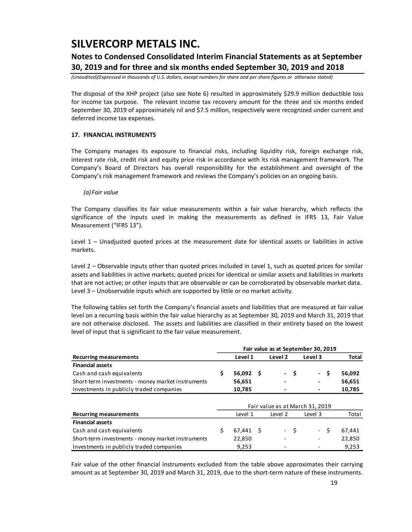### **Notes to Condensed Consolidated Interim Financial Statements as at September 30, 2019 and for three and six months ended September 30, 2019 and 2018**

*(Unaudited)(Expressed in thousands of U.S. dollars, except numbers for share and per share figures or otherwise stated)*

The disposal of the XHP project (also see Note 6) resulted in approximately \$29.9 million deductible loss for income tax purpose. The relevant income tax recovery amount for the three and six months ended September 30, 2019 of approximately nil and \$7.5 million, respectively were recognized under current and deferred income tax expenses.

#### **17. FINANCIAL INSTRUMENTS**

The Company manages its exposure to financial risks, including liquidity risk, foreign exchange risk, interest rate risk, credit risk and equity price risk in accordance with its risk management framework. The Company's Board of Directors has overall responsibility for the establishment and oversight of the Company's risk management framework and reviews the Company's policies on an ongoing basis.

#### *(a) Fair value*

The Company classifies its fair value measurements within a fair value hierarchy, which reflects the significance of the inputs used in making the measurements as defined in IFRS 13, Fair Value Measurement ("IFRS 13").

Level 1 – Unadjusted quoted prices at the measurement date for identical assets or liabilities in active markets.

Level 2 – Observable inputs other than quoted prices included in Level 1, such as quoted prices for similar assets and liabilities in active markets; quoted prices for identical or similar assets and liabilities in markets that are not active; or other inputs that are observable or can be corroborated by observable market data. Level 3 – Unobservable inputs which are supported by little or no market activity.

The following tables set forth the Company's financial assets and liabilities that are measured at fair value level on a recurring basis within the fair value hierarchy as at September 30, 2019 and March 31, 2019 that are not otherwise disclosed. The assets and liabilities are classified in their entirety based on the lowest level of input that is significant to the fair value measurement.

|                                                   |                        |         |      | Fair value as at September 30, 2019 |     |              |
|---------------------------------------------------|------------------------|---------|------|-------------------------------------|-----|--------------|
| <b>Recurring measurements</b>                     | Level 1                | Level 2 |      | Level 3                             |     | <b>Total</b> |
| <b>Financial assets</b>                           |                        |         |      |                                     |     |              |
| Cash and cash equivalents                         | \$<br>$56,092 \quad $$ |         | - \$ | $\sim$                              | \$. | 56,092       |
| Short-term investments - money market instruments | 56,651                 |         |      |                                     |     | 56,651       |
| Investments in publicly traded companies          | 10,785                 |         |      |                                     |     | 10,785       |
|                                                   |                        |         |      |                                     |     |              |
|                                                   |                        |         |      | Fair value as at March 31, 2019     |     |              |
| <b>Recurring measurements</b>                     | Level 1                | Level 2 |      | Level 3                             |     | Total        |
| <b>Financial assets</b>                           |                        |         |      |                                     |     |              |
| Cash and cash equivalents                         | \$<br>67,441 \$        |         | - \$ | $-5$                                |     | 67,441       |
| Short-term investments - money market instruments | 22,850                 |         |      |                                     |     | 22,850       |
| Investments in publicly traded companies          | 9.253                  |         |      |                                     |     | 9.253        |

Fair value of the other financial instruments excluded from the table above approximates their carrying amount as at September 30, 2019 and March 31, 2019, due to the short-term nature of these instruments.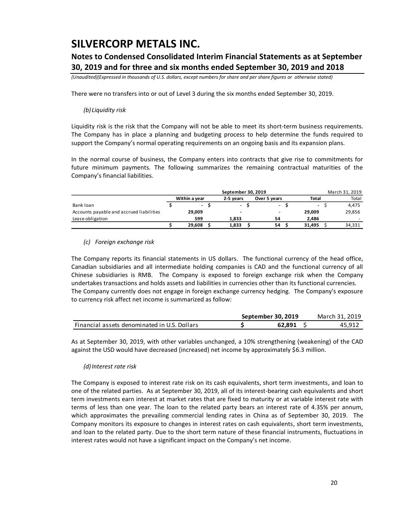### **Notes to Condensed Consolidated Interim Financial Statements as at September 30, 2019 and for three and six months ended September 30, 2019 and 2018**

*(Unaudited)(Expressed in thousands of U.S. dollars, except numbers for share and per share figures or otherwise stated)*

There were no transfers into or out of Level 3 during the six months ended September 30, 2019.

#### *(b) Liquidity risk*

Liquidity risk is the risk that the Company will not be able to meet its short-term business requirements. The Company has in place a planning and budgeting process to help determine the funds required to support the Company's normal operating requirements on an ongoing basis and its expansion plans.

In the normal course of business, the Company enters into contracts that give rise to commitments for future minimum payments. The following summarizes the remaining contractual maturities of the Company's financial liabilities.

|                                          |               |                          | March 31, 2019 |                          |        |
|------------------------------------------|---------------|--------------------------|----------------|--------------------------|--------|
|                                          | Within a vear | 2-5 years                | Over 5 years   | <b>Total</b>             | Total  |
| Bank loan                                | $\sim$        | $\overline{\phantom{0}}$ | $\blacksquare$ | $\overline{\phantom{a}}$ | 4.475  |
| Accounts payable and accrued liabilities | 29.009        | -                        | -              | 29.009                   | 29,856 |
| Lease obligation                         | 599           | 1.833                    | 54             | 2.486                    | -      |
|                                          | 29.608        | 1,833                    | 54             | 31.495                   | 34,331 |

#### *(c) Foreign exchange risk*

The Company reports its financial statements in US dollars. The functional currency of the head office, Canadian subsidiaries and all intermediate holding companies is CAD and the functional currency of all Chinese subsidiaries is RMB. The Company is exposed to foreign exchange risk when the Company undertakes transactions and holds assets and liabilities in currencies other than its functional currencies. The Company currently does not engage in foreign exchange currency hedging. The Company's exposure to currency risk affect net income is summarized as follow:

|                                              | September 30, 2019 | March 31, 2019 |
|----------------------------------------------|--------------------|----------------|
| Financial assets denominated in U.S. Dollars | 62.891             | 45.911         |

As at September 30, 2019, with other variables unchanged, a 10% strengthening (weakening) of the CAD against the USD would have decreased (increased) net income by approximately \$6.3 million.

#### *(d)Interest rate risk*

The Company is exposed to interest rate risk on its cash equivalents, short term investments, and loan to one of the related parties. As at September 30, 2019, all of its interest-bearing cash equivalents and short term investments earn interest at market rates that are fixed to maturity or at variable interest rate with terms of less than one year. The loan to the related party bears an interest rate of 4.35% per annum, which approximates the prevailing commercial lending rates in China as of September 30, 2019. The Company monitors its exposure to changes in interest rates on cash equivalents, short term investments, and loan to the related party. Due to the short term nature of these financial instruments, fluctuations in interest rates would not have a significant impact on the Company's net income.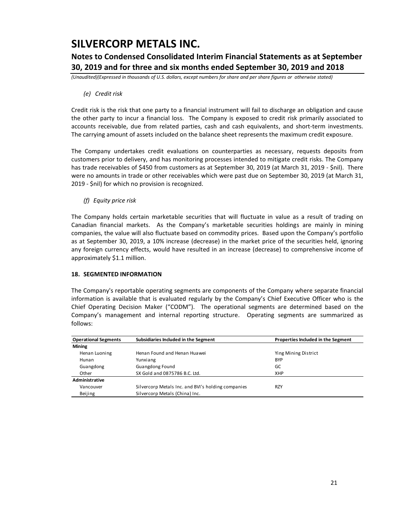### **Notes to Condensed Consolidated Interim Financial Statements as at September 30, 2019 and for three and six months ended September 30, 2019 and 2018**

*(Unaudited)(Expressed in thousands of U.S. dollars, except numbers for share and per share figures or otherwise stated)*

#### *(e) Credit risk*

Credit risk is the risk that one party to a financial instrument will fail to discharge an obligation and cause the other party to incur a financial loss. The Company is exposed to credit risk primarily associated to accounts receivable, due from related parties, cash and cash equivalents, and short-term investments. The carrying amount of assets included on the balance sheet represents the maximum credit exposure.

The Company undertakes credit evaluations on counterparties as necessary, requests deposits from customers prior to delivery, and has monitoring processes intended to mitigate credit risks. The Company has trade receivables of \$450 from customers as at September 30, 2019 (at March 31, 2019 - \$nil). There were no amounts in trade or other receivables which were past due on September 30, 2019 (at March 31, 2019 - \$nil) for which no provision is recognized.

*(f) Equity price risk*

The Company holds certain marketable securities that will fluctuate in value as a result of trading on Canadian financial markets. As the Company's marketable securities holdings are mainly in mining companies, the value will also fluctuate based on commodity prices. Based upon the Company's portfolio as at September 30, 2019, a 10% increase (decrease) in the market price of the securities held, ignoring any foreign currency effects, would have resulted in an increase (decrease) to comprehensive income of approximately \$1.1 million.

#### **18. SEGMENTED INFORMATION**

The Company's reportable operating segments are components of the Company where separate financial information is available that is evaluated regularly by the Company's Chief Executive Officer who is the Chief Operating Decision Maker ("CODM"). The operational segments are determined based on the Company's management and internal reporting structure. Operating segments are summarized as follows:

| <b>Operational Segments</b> | Subsidiaries Included in the Segment               | Properties Included in the Segment |
|-----------------------------|----------------------------------------------------|------------------------------------|
| <b>Mining</b>               |                                                    |                                    |
| Henan Luoning               | Henan Found and Henan Huawei                       | Ying Mining District               |
| Hunan                       | Yunxiang                                           | <b>BYP</b>                         |
| Guangdong                   | Guangdong Found                                    | GC                                 |
| Other                       | SX Gold and 0875786 B.C. Ltd.                      | <b>XHP</b>                         |
| Administrative              |                                                    |                                    |
| Vancouver                   | Silvercorp Metals Inc. and BVI's holding companies | <b>RZY</b>                         |
| Beijing                     | Silvercorp Metals (China) Inc.                     |                                    |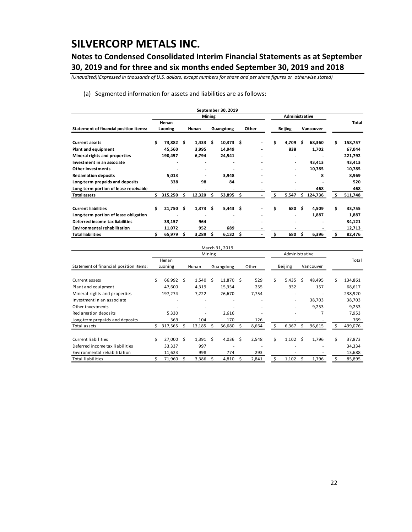## **Notes to Condensed Consolidated Interim Financial Statements as at September 30, 2019 and for three and six months ended September 30, 2019 and 2018**

*(Unaudited)(Expressed in thousands of U.S. dollars, except numbers for share and per share figures or otherwise stated)*

(a) Segmented information for assets and liabilities are as follows:

|                                        |         |             |       |                          |               | September 30, 2019 |       |  |                          |                |                          |           |         |   |         |
|----------------------------------------|---------|-------------|-------|--------------------------|---------------|--------------------|-------|--|--------------------------|----------------|--------------------------|-----------|---------|---|---------|
|                                        |         |             |       |                          | <b>Mining</b> |                    |       |  |                          |                | Administrative           |           |         |   |         |
|                                        |         | Henan       |       |                          |               |                    |       |  |                          |                |                          |           |         |   | Total   |
| Statement of financial position items: | Luoning |             | Hunan |                          | Guangdong     |                    | Other |  |                          | <b>Beijing</b> |                          | Vancouver |         |   |         |
| <b>Current assets</b>                  | Ś       | 73,882      | S     | 1,433                    | Ŝ             | 10,373             | Ŝ     |  |                          | Ś.             | 4,709                    | Ŝ         | 68,360  | Ś | 158,757 |
| <b>Plant and equipment</b>             |         | 45,560      |       | 3,995                    |               | 14,949             |       |  |                          |                | 838                      |           | 1,702   |   | 67,044  |
| Mineral rights and properties          |         | 190,457     |       | 6,794                    |               | 24,541             |       |  |                          |                | $\overline{\phantom{0}}$ |           |         |   | 221,792 |
| Investment in an associate             |         | ٠           |       | $\overline{\phantom{a}}$ |               | ٠                  |       |  | $\blacksquare$           |                | $\overline{\phantom{a}}$ |           | 43,413  |   | 43,413  |
| <b>Other investments</b>               |         |             |       | $\overline{\phantom{a}}$ |               |                    |       |  |                          |                | $\overline{\phantom{0}}$ |           | 10,785  |   | 10,785  |
| <b>Reclamation deposits</b>            |         | 5,013       |       |                          |               | 3,948              |       |  |                          |                |                          |           | 8       |   | 8,969   |
| Long-term prepaids and deposits        |         | 338         |       | 98                       |               | 84                 |       |  |                          |                |                          |           |         |   | 520     |
| Long-term portion of lease receivable  |         |             |       |                          |               |                    |       |  |                          |                |                          |           | 468     |   | 468     |
| <b>Total assets</b>                    | Ś       | 315,250     | s     | 12,320                   | S             | 53,895             | \$    |  |                          | \$             | 5,547                    | \$        | 124,736 | Ś | 511,748 |
| <b>Current liabilities</b>             | \$.     | $21,750$ \$ |       | $1,373$ \$               |               | $5,443$ \$         |       |  |                          | Ś              | 680                      | Ŝ         | 4,509   | Ś | 33,755  |
| Long-term portion of lease obligation  |         |             |       | $\blacksquare$           |               |                    |       |  | $\overline{\phantom{a}}$ |                |                          |           | 1,887   |   | 1,887   |
| Deferred income tax liabilities        |         | 33,157      |       | 964                      |               |                    |       |  |                          |                |                          |           |         |   | 34,121  |
| <b>Environmental rehabilitation</b>    |         | 11,072      |       | 952                      |               | 689                |       |  |                          |                |                          |           |         |   | 12,713  |
| <b>Total liabilities</b>               | Ś.      | 65,979      | \$.   | 3,289                    | S             | 6,132              | \$    |  |                          | \$             | 680                      | \$        | 6,396   | Ś | 82,476  |

|                                        |    |         |    |                          |        | March 31, 2019 |    |       |    |                |    |           |   |         |
|----------------------------------------|----|---------|----|--------------------------|--------|----------------|----|-------|----|----------------|----|-----------|---|---------|
|                                        |    |         |    |                          | Mining |                |    |       |    | Administrative |    |           |   |         |
|                                        |    | Henan   |    |                          |        |                |    |       |    |                |    |           |   | Total   |
| Statement of financial position items: |    | Luoning |    | Hunan                    |        | Guangdong      |    | Other |    | Beijing        |    | Vancouver |   |         |
| Current assets                         | Ś. | 66,992  | S  | 1,540                    | - \$   | 11,870 \$      |    | 529   | Ś. | 5,435          | Ŝ. | 48.495    | Ś | 134,861 |
| Plant and equipment                    |    | 47,600  |    | 4,319                    |        | 15,354         |    | 255   |    | 932            |    | 157       |   | 68,617  |
| Mineral rights and properties          |    | 197,274 |    | 7,222                    |        | 26,670         |    | 7,754 |    | ۰              |    |           |   | 238,920 |
| Investment in an associate             |    | ۰       |    | ۰                        |        | ۰              |    |       |    | $\blacksquare$ |    | 38,703    |   | 38,703  |
| Other investments                      |    |         |    | $\overline{\phantom{a}}$ |        |                |    |       |    | ۰              |    | 9,253     |   | 9,253   |
| Reclamation deposits                   |    | 5,330   |    | $\overline{\phantom{a}}$ |        | 2,616          |    |       |    | -              |    | 7         |   | 7,953   |
| Long-term prepaids and deposits        |    | 369     |    | 104                      |        | 170            |    | 126   |    |                |    |           |   | 769     |
| Total assets                           | Ś. | 317,565 | Ŝ. | 13,185                   | -S     | 56,680         | S  | 8,664 | S. | 6,367          | Ŝ. | 96,615    | Ś | 499,076 |
|                                        | Ś. |         |    |                          |        |                |    |       |    |                |    |           |   |         |
| Current liabilities                    |    | 27,000  | Ś. | 1,391                    | Ś      | 4,036          | Ŝ. | 2,548 | Ś. | 1,102          | Ŝ. | 1,796     | Ś | 37,873  |
| Deferred income tax liabilities        |    | 33,337  |    | 997                      |        | ۰              |    |       |    |                |    | ۰         |   | 34,334  |
| Environmental rehabilitation           |    | 11,623  |    | 998                      |        | 774            |    | 293   |    |                |    |           |   | 13,688  |
| <b>Total liabilities</b>               |    | 71,960  |    | 3,386                    |        | 4,810          | Ś. | 2,841 | Ś  | 1,102          | Ŝ. | 1,796     |   | 85,895  |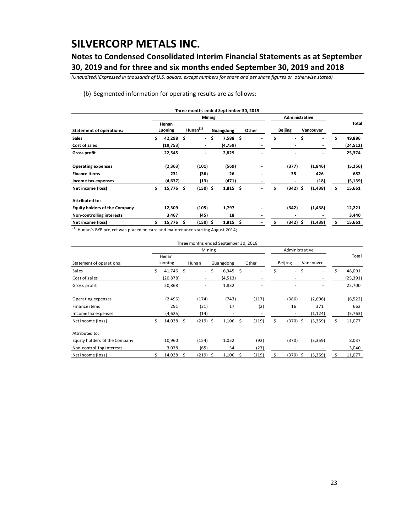### **Notes to Condensed Consolidated Interim Financial Statements as at September 30, 2019 and for three and six months ended September 30, 2019 and 2018**

*(Unaudited)(Expressed in thousands of U.S. dollars, except numbers for share and per share figures or otherwise stated)*

#### (b) Segmented information for operating results are as follows:

|                  |          |  |                                       |                | Three months ended September 30, 2019      |  |                                      |       |                          |          |                                                                        |                             |           |
|------------------|----------|--|---------------------------------------|----------------|--------------------------------------------|--|--------------------------------------|-------|--------------------------|----------|------------------------------------------------------------------------|-----------------------------|-----------|
|                  |          |  |                                       |                |                                            |  |                                      |       |                          |          |                                                                        |                             |           |
| Henan<br>Luoning |          |  |                                       |                | Guangdong                                  |  |                                      |       | <b>Beijing</b>           |          |                                                                        |                             | Total     |
| Ś                |          |  |                                       |                |                                            |  |                                      | \$    |                          | \$       | $\overline{\phantom{a}}$                                               | \$                          | 49,886    |
|                  | (19,753) |  | $\overline{\phantom{a}}$              |                | (4,759)                                    |  |                                      |       | $\overline{\phantom{0}}$ |          | ٠                                                                      |                             | (24, 512) |
|                  | 22,545   |  | $\overline{\phantom{a}}$              |                | 2,829                                      |  |                                      |       |                          |          | ٠                                                                      |                             | 25,374    |
|                  | (2, 363) |  | (101)                                 |                | (569)                                      |  |                                      |       |                          |          | (1,846)                                                                |                             | (5,256)   |
|                  | 231      |  | (36)                                  |                | 26                                         |  |                                      |       | 35                       |          | 426                                                                    |                             | 682       |
|                  | (4,637)  |  | (13)                                  |                | (471)                                      |  |                                      |       |                          |          | (18)                                                                   |                             | (5, 139)  |
| \$               |          |  |                                       |                |                                            |  | $\blacksquare$                       |       |                          |          | (1, 438)                                                               | \$                          | 15,661    |
|                  |          |  |                                       |                |                                            |  |                                      |       |                          |          |                                                                        |                             |           |
|                  | 12,309   |  | (105)                                 |                | 1,797                                      |  |                                      |       |                          |          | (1, 438)                                                               |                             | 12,221    |
|                  | 3,467    |  | (45)                                  |                | 18                                         |  |                                      |       | $\,$                     |          |                                                                        |                             | 3,440     |
|                  |          |  |                                       |                |                                            |  |                                      |       |                          |          | (1, 438)                                                               | s                           | 15,661    |
|                  |          |  | 42,298 \$<br>15,776 \$<br>$15,776$ \$ | $H$ unan $(1)$ | Mining<br>- \$<br>$(150)$ \$<br>$(150)$ \$ |  | 7,588 \$<br>$1,815$ \$<br>$1,815$ \$ | Other |                          | \$<br>\$ | $\overline{\phantom{a}}$<br>(377)<br>$(342)$ \$<br>(342)<br>$(342)$ \$ | Administrative<br>Vancouver |           |

 $<sup>(1)</sup>$  Hunan's BYP project was placed on care and maintenance starting August 2014;</sup>

|                               |                   |    | Three months ended September 30, 2018 |                |    |       |    |                          |                          |    |           |
|-------------------------------|-------------------|----|---------------------------------------|----------------|----|-------|----|--------------------------|--------------------------|----|-----------|
|                               |                   |    | Mining                                |                |    |       |    | Administrative           |                          |    |           |
|                               | Henan             |    |                                       |                |    |       |    |                          |                          |    | Total     |
| Statement of operations:      | Luoning           |    | Hunan                                 | Guangdong      |    | Other |    | Beijing                  | Vancouver                |    |           |
| Sales                         | \$<br>$41,746$ \$ |    | $\sim$                                | \$<br>6,345    | \$ | ٠     | Ś  | $\overline{\phantom{0}}$ | \$<br>٠                  | Ś  | 48,091    |
| Cost of sales                 | (20, 878)         |    | $\overline{\phantom{a}}$              | (4, 513)       |    |       |    |                          | $\overline{\phantom{a}}$ |    | (25, 391) |
| Gross profit                  | 20,868            |    | ۰                                     | 1,832          |    |       |    |                          |                          |    | 22,700    |
| Operating expenses            | (2, 496)          |    | (174)                                 | (743)          |    | (117) |    | (386)                    | (2,606)                  |    | (6, 522)  |
| Finance items                 | 291               |    | (31)                                  | 17             |    | (2)   |    | 16                       | 371                      |    | 662       |
| Income tax expenses           | (4,625)           |    | (14)                                  | $\overline{a}$ |    |       |    | $\blacksquare$           | (1, 124)                 |    | (5,763)   |
| Net income (loss)             | \$<br>14,038 \$   |    | $(219)$ \$                            | 1,106          | \$ | (119) | \$ | $(370)$ \$               | (3,359)                  | \$ | 11,077    |
| Attributed to:                |                   |    |                                       |                |    |       |    |                          |                          |    |           |
| Equity holders of the Company | 10,960            |    | (154)                                 | 1,052          |    | (92)  |    | (370)                    | (3,359)                  |    | 8,037     |
| Non-controlling interests     | 3,078             |    | (65)                                  | 54             |    | (27)  |    | ٠                        |                          |    | 3,040     |
| Net income (loss)             | 14,038            | S. | $(219)$ \$                            | 1,106          | S. | (119) | S  | (370) \$                 | (3,359)                  | s  | 11,077    |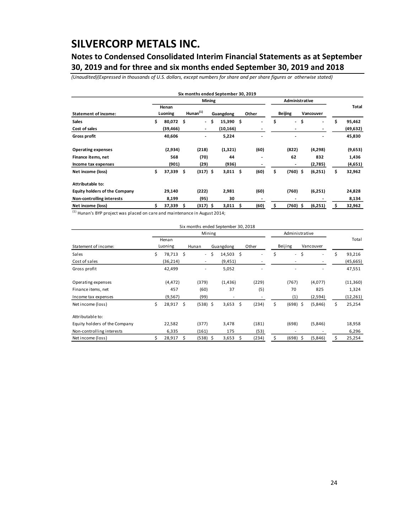## **Notes to Condensed Consolidated Interim Financial Statements as at September 30, 2019 and for three and six months ended September 30, 2019 and 2018**

*(Unaudited)(Expressed in thousands of U.S. dollars, except numbers for share and per share figures or otherwise stated)*

|    | Henan     |         |                              |             |                          |                            | Other                    |                                     |                          |                |                              |                             | Total     |
|----|-----------|---------|------------------------------|-------------|--------------------------|----------------------------|--------------------------|-------------------------------------|--------------------------|----------------|------------------------------|-----------------------------|-----------|
| \$ |           |         | $\blacksquare$               | Ŝ.          | 15,390                   | \$.                        | $\overline{\phantom{0}}$ | \$                                  | $\overline{\phantom{a}}$ | \$             | $\qquad \qquad \blacksquare$ | \$                          | 95,462    |
|    | (39, 466) |         | $\blacksquare$               |             | (10, 166)                |                            |                          |                                     | $\overline{\phantom{0}}$ |                |                              |                             | (49, 632) |
|    | 40,606    |         | $\qquad \qquad \blacksquare$ |             | 5,224                    |                            |                          |                                     | $\blacksquare$           |                | -                            |                             | 45,830    |
|    | (2,934)   |         | (218)                        |             | (1, 321)                 |                            | (60)                     |                                     | (822)                    |                | (4,298)                      |                             | (9,653)   |
|    | 568       |         | (70)                         |             | 44                       |                            |                          |                                     | 62                       |                | 832                          |                             | 1,436     |
|    | (901)     |         | (29)                         |             | (936)                    |                            |                          |                                     | $\overline{\phantom{a}}$ |                | (2,785)                      |                             | (4,651)   |
| Ś. | 37,339    | \$      |                              |             | 3,011                    | \$                         | (60)                     | \$                                  |                          |                | (6,251)                      | \$                          | 32,962    |
|    |           |         |                              |             |                          |                            |                          |                                     |                          |                |                              |                             |           |
|    | 29,140    |         | (222)                        |             | 2,981                    |                            | (60)                     |                                     | (760)                    |                | (6,251)                      |                             | 24,828    |
|    | 8,199     |         | (95)                         |             | 30                       |                            |                          |                                     | $\blacksquare$           |                |                              |                             | 8,134     |
|    |           | \$      |                              |             | 3,011                    | \$.                        | (60)                     | \$                                  |                          |                | (6,251)                      | S                           | 32,962    |
|    |           | Luoning | 80,072 \$<br>37,339          | Hunan $(1)$ | $(317)$ \$<br>$(317)$ \$ | <b>Mining</b><br>Guangdong |                          | Six months ended September 30, 2019 |                          | <b>Beijing</b> | $(760)$ \$<br>$(760)$ \$     | Administrative<br>Vancouver |           |

 $(1)$  Hunan's BYP project was placed on care and maintenance in August 2014;

|                               |    |           |      | Six months ended September 30, 2018 |     |                          |    |       |                                |     |           |              |
|-------------------------------|----|-----------|------|-------------------------------------|-----|--------------------------|----|-------|--------------------------------|-----|-----------|--------------|
|                               |    |           |      | Mining                              |     |                          |    |       | Administrative                 |     |           |              |
|                               |    | Henan     |      |                                     |     |                          |    |       |                                |     |           | Total        |
| Statement of income:          |    | Luoning   |      | Hunan                               |     | Guangdong                |    | Other | Beijing                        |     | Vancouver |              |
| Sales                         | Ś  | 78,713 \$ |      | $\sim$                              | -\$ | 14,503                   | \$ | ٠     | \$<br>$\overline{\phantom{a}}$ | \$  | ۰         | \$<br>93,216 |
| Cost of sales                 |    | (36, 214) |      | $\overline{\phantom{a}}$            |     | (9, 451)                 |    |       |                                |     |           | (45, 665)    |
| Gross profit                  |    | 42,499    |      | $\overline{\phantom{0}}$            |     | 5,052                    |    |       |                                |     |           | 47,551       |
| Operating expenses            |    | (4, 472)  |      | (379)                               |     | (1, 436)                 |    | (229) | (767)                          |     | (4,077)   | (11, 360)    |
| Finance items, net            |    | 457       |      | (60)                                |     | 37                       |    | (5)   | 70                             |     | 825       | 1,324        |
| Income tax expenses           |    | (9,567)   |      | (99)                                |     | $\overline{\phantom{a}}$ |    | ۰     | (1)                            |     | (2,594)   | (12, 261)    |
| Net income (loss)             | \$ | 28,917 \$ |      | $(538)$ \$                          |     | 3,653                    | \$ | (234) | \$<br>$(698)$ \$               |     | (5,846)   | \$<br>25,254 |
| Attributable to:              |    |           |      |                                     |     |                          |    |       |                                |     |           |              |
| Equity holders of the Company |    | 22,582    |      | (377)                               |     | 3,478                    |    | (181) | (698)                          |     | (5,846)   | 18,958       |
| Non-controlling interests     |    | 6,335     |      | (161)                               |     | 175                      |    | (53)  |                                |     |           | 6,296        |
| Net income (loss)             |    | 28,917    | - \$ | $(538)$ \$                          |     | 3,653                    | S  | (234) | \$<br>(698)                    | -\$ | (5,846)   | 25,254       |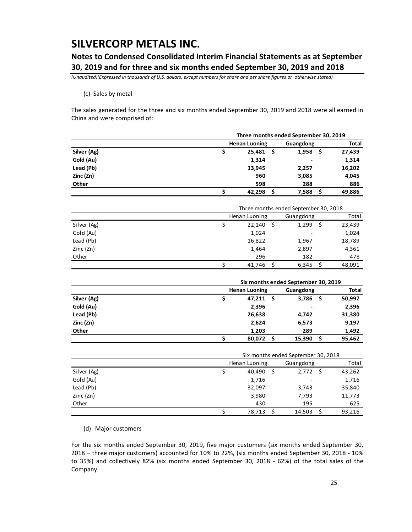### **Notes to Condensed Consolidated Interim Financial Statements as at September 30, 2019 and for three and six months ended September 30, 2019 and 2018**

*(Unaudited)(Expressed in thousands of U.S. dollars, except numbers for share and per share figures or otherwise stated)*

#### (c) Sales by metal

The sales generated for the three and six months ended September 30, 2019 and 2018 were all earned in China and were comprised of:

|             | Three months ended September 30, 2019 |                      |     |               |        |  |  |
|-------------|---------------------------------------|----------------------|-----|---------------|--------|--|--|
|             |                                       | <b>Henan Luoning</b> |     | Guangdong     | Total  |  |  |
| Silver (Ag) | \$                                    | 25,481               | Ŝ   | 1,958<br>- \$ | 27,439 |  |  |
| Gold (Au)   |                                       | 1,314                |     |               | 1,314  |  |  |
| Lead (Pb)   |                                       | 13,945               |     | 2,257         | 16,202 |  |  |
| Zinc (Zn)   |                                       | 960                  |     | 3,085         | 4,045  |  |  |
| Other       |                                       | 598                  |     | 288           | 886    |  |  |
|             | \$                                    | 42,298               | \$. | 7,588<br>-\$  | 49,886 |  |  |
|             |                                       |                      |     |               |        |  |  |
|             | Three months ended September 30, 2018 |                      |     |               |        |  |  |
|             |                                       | Henan Luoning        |     | Guangdong     | Total  |  |  |
| Silver (Ag) | \$                                    | 22,140               | -Ś  | Ŝ.<br>1,299   | 23,439 |  |  |
| Gold (Au)   |                                       | 1,024                |     |               | 1,024  |  |  |
| Lead (Pb)   |                                       | 16,822               |     | 1,967         | 18,789 |  |  |
| Zinc(Zn)    |                                       | 1,464                |     | 2,897         | 4,361  |  |  |

|             | Six months ended September 30, 2019 |                      |                          |              |  |  |  |
|-------------|-------------------------------------|----------------------|--------------------------|--------------|--|--|--|
| Silver (Ag) |                                     | <b>Henan Luoning</b> | Guangdong                | <b>Total</b> |  |  |  |
|             |                                     | 47,211<br>- Ś        | 3,786<br>S               | 50,997       |  |  |  |
| Gold (Au)   |                                     | 2,396                | $\overline{\phantom{0}}$ | 2,396        |  |  |  |
| Lead (Pb)   |                                     | 26,638               | 4,742                    | 31,380       |  |  |  |
| Zinc (Zn)   |                                     | 2,624                | 6,573                    | 9,197        |  |  |  |
| Other       |                                     | 1,203                | 289                      | 1,492        |  |  |  |
|             |                                     | 80,072               | 15,390                   | 95,462       |  |  |  |

Other 296 182 478

 $$ 41,746 \quad $ 6,345 \quad $ 48,091$ 

|             |  | Six months ended September 30, 2018 |   |                          |   |        |  |
|-------------|--|-------------------------------------|---|--------------------------|---|--------|--|
|             |  | Henan Luoning                       |   | Guangdong                |   | Total  |  |
| Silver (Ag) |  | 40.490                              | Ŝ | 2,772                    | S | 43,262 |  |
| Gold (Au)   |  | 1,716                               |   | $\overline{\phantom{0}}$ |   | 1,716  |  |
| Lead (Pb)   |  | 32,097                              |   | 3,743                    |   | 35,840 |  |
| Zinc (Zn)   |  | 3,980                               |   | 7,793                    |   | 11,773 |  |
| Other       |  | 430                                 |   | 195                      |   | 625    |  |
|             |  | 78,713                              |   | 14,503                   | S | 93,216 |  |

(d) Major customers

For the six months ended September 30, 2019, five major customers (six months ended September 30, 2018 – three major customers) accounted for 10% to 22%, (six months ended September 30, 2018 - 10% to 35%) and collectively 82% (six months ended September 30, 2018 - 62%) of the total sales of the Company.